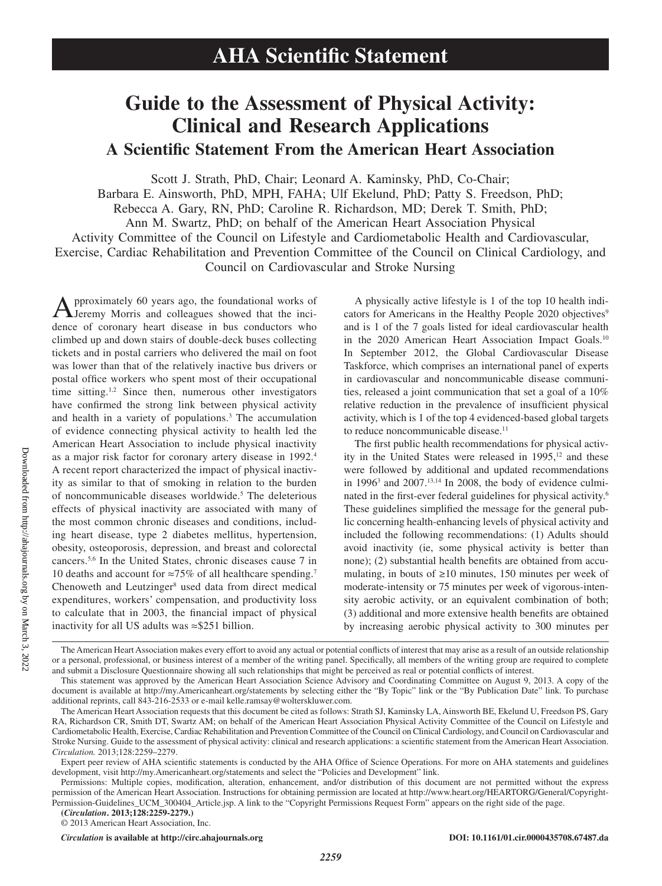# **Guide to the Assessment of Physical Activity: Clinical and Research Applications A Scientific Statement From the American Heart Association**

Scott J. Strath, PhD, Chair; Leonard A. Kaminsky, PhD, Co-Chair; Barbara E. Ainsworth, PhD, MPH, FAHA; Ulf Ekelund, PhD; Patty S. Freedson, PhD; Rebecca A. Gary, RN, PhD; Caroline R. Richardson, MD; Derek T. Smith, PhD; Ann M. Swartz, PhD; on behalf of the American Heart Association Physical Activity Committee of the Council on Lifestyle and Cardiometabolic Health and Cardiovascular, Exercise, Cardiac Rehabilitation and Prevention Committee of the Council on Clinical Cardiology, and Council on Cardiovascular and Stroke Nursing

pproximately 60 years ago, the foundational works of Jeremy Morris and colleagues showed that the incidence of coronary heart disease in bus conductors who climbed up and down stairs of double-deck buses collecting tickets and in postal carriers who delivered the mail on foot was lower than that of the relatively inactive bus drivers or postal office workers who spent most of their occupational time sitting.<sup>1,2</sup> Since then, numerous other investigators have confirmed the strong link between physical activity and health in a variety of populations.3 The accumulation of evidence connecting physical activity to health led the American Heart Association to include physical inactivity as a major risk factor for coronary artery disease in 1992.4 A recent report characterized the impact of physical inactivity as similar to that of smoking in relation to the burden of noncommunicable diseases worldwide.<sup>5</sup> The deleterious effects of physical inactivity are associated with many of the most common chronic diseases and conditions, including heart disease, type 2 diabetes mellitus, hypertension, obesity, osteoporosis, depression, and breast and colorectal cancers.5,6 In the United States, chronic diseases cause 7 in 10 deaths and account for ≈75% of all healthcare spending.7 Chenoweth and Leutzinger<sup>8</sup> used data from direct medical expenditures, workers' compensation, and productivity loss to calculate that in 2003, the financial impact of physical inactivity for all US adults was ≈\$251 billion.

A physically active lifestyle is 1 of the top 10 health indicators for Americans in the Healthy People 2020 objectives<sup>9</sup> and is 1 of the 7 goals listed for ideal cardiovascular health in the 2020 American Heart Association Impact Goals.<sup>10</sup> In September 2012, the Global Cardiovascular Disease Taskforce, which comprises an international panel of experts in cardiovascular and noncommunicable disease communities, released a joint communication that set a goal of a 10% relative reduction in the prevalence of insufficient physical activity, which is 1 of the top 4 evidenced-based global targets to reduce noncommunicable disease.<sup>11</sup>

The first public health recommendations for physical activity in the United States were released in 1995,<sup>12</sup> and these were followed by additional and updated recommendations in  $1996<sup>3</sup>$  and  $2007<sup>13,14</sup>$  In 2008, the body of evidence culminated in the first-ever federal guidelines for physical activity.6 These guidelines simplified the message for the general public concerning health-enhancing levels of physical activity and included the following recommendations: (1) Adults should avoid inactivity (ie, some physical activity is better than none); (2) substantial health benefits are obtained from accumulating, in bouts of  $\geq 10$  minutes, 150 minutes per week of moderate-intensity or 75 minutes per week of vigorous-intensity aerobic activity, or an equivalent combination of both; (3) additional and more extensive health benefits are obtained by increasing aerobic physical activity to 300 minutes per

**(***Circulation***. 2013;128:2259-2279.)** © 2013 American Heart Association, Inc.

The American Heart Association makes every effort to avoid any actual or potential conflicts of interest that may arise as a result of an outside relationship or a personal, professional, or business interest of a member of the writing panel. Specifically, all members of the writing group are required to complete and submit a Disclosure Questionnaire showing all such relationships that might be perceived as real or potential conflicts of interest.

This statement was approved by the American Heart Association Science Advisory and Coordinating Committee on August 9, 2013. A copy of the document is available at <http://my.Americanheart.org/statements> by selecting either the "By Topic" link or the "By Publication Date" link. To purchase additional reprints, call 843-216-2533 or e-mail kelle.ramsay@wolterskluwer.com.

The American Heart Association requests that this document be cited as follows: Strath SJ, Kaminsky LA, Ainsworth BE, Ekelund U, Freedson PS, Gary RA, Richardson CR, Smith DT, Swartz AM; on behalf of the American Heart Association Physical Activity Committee of the Council on Lifestyle and Cardiometabolic Health, Exercise, Cardiac Rehabilitation and Prevention Committee of the Council on Clinical Cardiology, and Council on Cardiovascular and Stroke Nursing. Guide to the assessment of physical activity: clinical and research applications: a scientific statement from the American Heart Association. *Circulation.* 2013;128:2259–2279.

Expert peer review of AHA scientific statements is conducted by the AHA Office of Science Operations. For more on AHA statements and guidelines development, visit <http://my.Americanheart.org/statements>and select the "Policies and Development" link.

Permissions: Multiple copies, modification, alteration, enhancement, and/or distribution of this document are not permitted without the express permission of the American Heart Association. Instructions for obtaining permission are located at [http://www.heart.org/HEARTORG/General/Copyright-](http://www.heart.org/HEARTORG/General/Copyright-Permission-Guidelines_UCM_300404_Article.jsp)[Permission-Guidelines\\_UCM\\_300404\\_Article.jsp.](http://www.heart.org/HEARTORG/General/Copyright-Permission-Guidelines_UCM_300404_Article.jsp) A link to the "Copyright Permissions Request Form" appears on the right side of the page.

*Circulation* **is available at http://circ.ahajournals.org DOI: 10.1161/01.cir.0000435708.67487.da**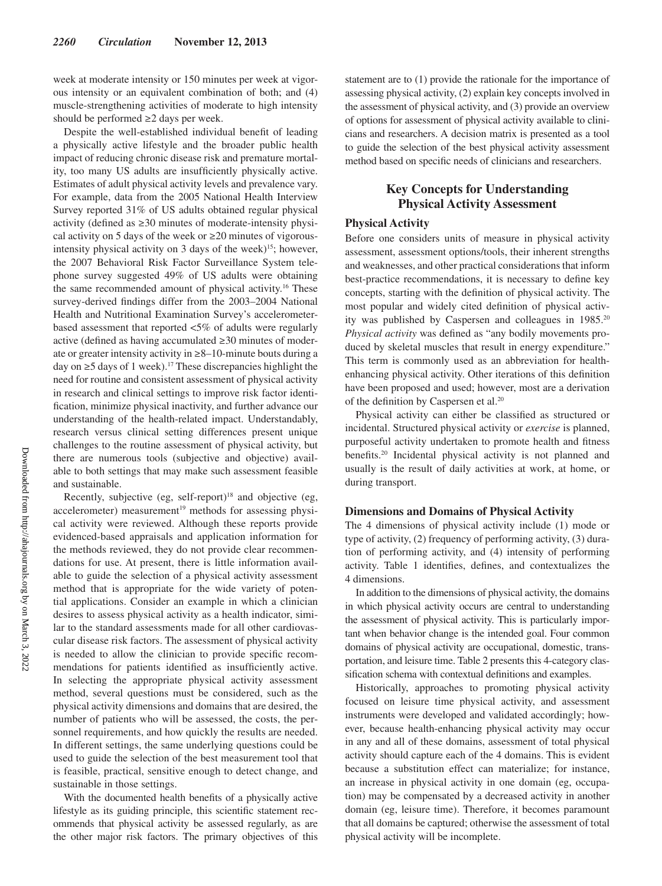week at moderate intensity or 150 minutes per week at vigorous intensity or an equivalent combination of both; and (4) muscle-strengthening activities of moderate to high intensity should be performed  $\geq 2$  days per week.

Despite the well-established individual benefit of leading a physically active lifestyle and the broader public health impact of reducing chronic disease risk and premature mortality, too many US adults are insufficiently physically active. Estimates of adult physical activity levels and prevalence vary. For example, data from the 2005 National Health Interview Survey reported 31% of US adults obtained regular physical activity (defined as ≥30 minutes of moderate-intensity physical activity on 5 days of the week or  $\geq$ 20 minutes of vigorousintensity physical activity on 3 days of the week)<sup>15</sup>; however, the 2007 Behavioral Risk Factor Surveillance System telephone survey suggested 49% of US adults were obtaining the same recommended amount of physical activity.16 These survey-derived findings differ from the 2003–2004 National Health and Nutritional Examination Survey's accelerometerbased assessment that reported <5% of adults were regularly active (defined as having accumulated ≥30 minutes of moderate or greater intensity activity in ≥8–10-minute bouts during a day on  $\geq$ 5 days of 1 week).<sup>17</sup> These discrepancies highlight the need for routine and consistent assessment of physical activity in research and clinical settings to improve risk factor identification, minimize physical inactivity, and further advance our understanding of the health-related impact. Understandably, research versus clinical setting differences present unique challenges to the routine assessment of physical activity, but there are numerous tools (subjective and objective) available to both settings that may make such assessment feasible and sustainable.

Recently, subjective (eg, self-report) $18$  and objective (eg, accelerometer) measurement<sup>19</sup> methods for assessing physical activity were reviewed. Although these reports provide evidenced-based appraisals and application information for the methods reviewed, they do not provide clear recommendations for use. At present, there is little information available to guide the selection of a physical activity assessment method that is appropriate for the wide variety of potential applications. Consider an example in which a clinician desires to assess physical activity as a health indicator, similar to the standard assessments made for all other cardiovascular disease risk factors. The assessment of physical activity is needed to allow the clinician to provide specific recommendations for patients identified as insufficiently active. In selecting the appropriate physical activity assessment method, several questions must be considered, such as the physical activity dimensions and domains that are desired, the number of patients who will be assessed, the costs, the personnel requirements, and how quickly the results are needed. In different settings, the same underlying questions could be used to guide the selection of the best measurement tool that is feasible, practical, sensitive enough to detect change, and sustainable in those settings.

With the documented health benefits of a physically active lifestyle as its guiding principle, this scientific statement recommends that physical activity be assessed regularly, as are the other major risk factors. The primary objectives of this

statement are to (1) provide the rationale for the importance of assessing physical activity, (2) explain key concepts involved in the assessment of physical activity, and (3) provide an overview of options for assessment of physical activity available to clinicians and researchers. A decision matrix is presented as a tool to guide the selection of the best physical activity assessment method based on specific needs of clinicians and researchers.

# **Key Concepts for Understanding Physical Activity Assessment**

# **Physical Activity**

Before one considers units of measure in physical activity assessment, assessment options/tools, their inherent strengths and weaknesses, and other practical considerations that inform best-practice recommendations, it is necessary to define key concepts, starting with the definition of physical activity. The most popular and widely cited definition of physical activity was published by Caspersen and colleagues in 1985.20 *Physical activity* was defined as "any bodily movements produced by skeletal muscles that result in energy expenditure." This term is commonly used as an abbreviation for healthenhancing physical activity. Other iterations of this definition have been proposed and used; however, most are a derivation of the definition by Caspersen et al.20

Physical activity can either be classified as structured or incidental. Structured physical activity or *exercise* is planned, purposeful activity undertaken to promote health and fitness benefits.20 Incidental physical activity is not planned and usually is the result of daily activities at work, at home, or during transport.

# **Dimensions and Domains of Physical Activity**

The 4 dimensions of physical activity include (1) mode or type of activity, (2) frequency of performing activity, (3) duration of performing activity, and (4) intensity of performing activity. Table 1 identifies, defines, and contextualizes the 4 dimensions.

In addition to the dimensions of physical activity, the domains in which physical activity occurs are central to understanding the assessment of physical activity. This is particularly important when behavior change is the intended goal. Four common domains of physical activity are occupational, domestic, transportation, and leisure time. Table 2 presents this 4-category classification schema with contextual definitions and examples.

Historically, approaches to promoting physical activity focused on leisure time physical activity, and assessment instruments were developed and validated accordingly; however, because health-enhancing physical activity may occur in any and all of these domains, assessment of total physical activity should capture each of the 4 domains. This is evident because a substitution effect can materialize; for instance, an increase in physical activity in one domain (eg, occupation) may be compensated by a decreased activity in another domain (eg, leisure time). Therefore, it becomes paramount that all domains be captured; otherwise the assessment of total physical activity will be incomplete.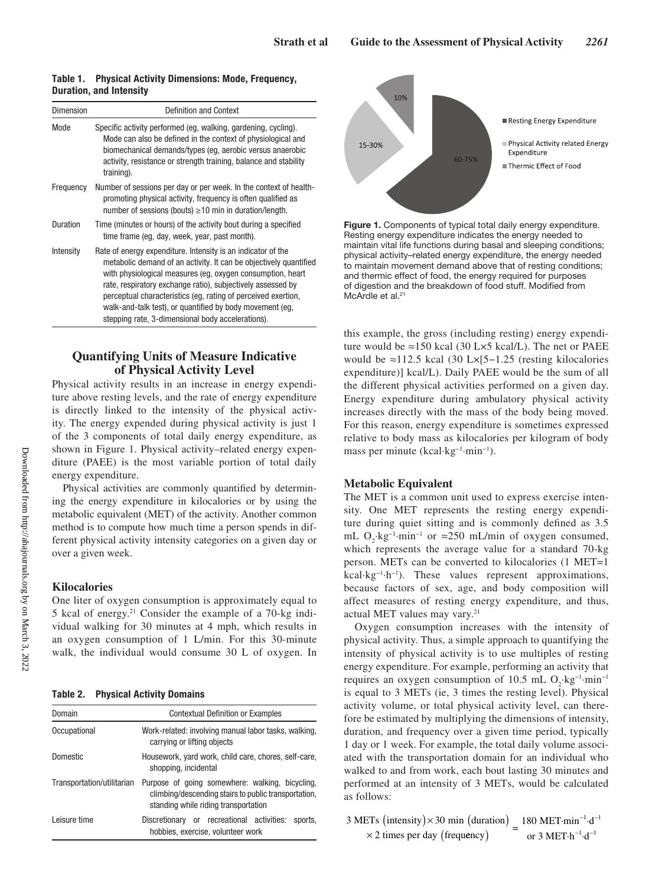| Table 1. Physical Activity Dimensions: Mode, Frequency, |
|---------------------------------------------------------|
| Duration, and Intensity                                 |

| Dimension | <b>Definition and Context</b>                                                                                                                                                                                                                                                                                                                                                                                                                    |
|-----------|--------------------------------------------------------------------------------------------------------------------------------------------------------------------------------------------------------------------------------------------------------------------------------------------------------------------------------------------------------------------------------------------------------------------------------------------------|
| Mode      | Specific activity performed (eq. walking, gardening, cycling).<br>Mode can also be defined in the context of physiological and<br>biomechanical demands/types (eg, aerobic versus anaerobic<br>activity, resistance or strength training, balance and stability<br>training).                                                                                                                                                                    |
| Frequency | Number of sessions per day or per week. In the context of health-<br>promoting physical activity, frequency is often qualified as<br>number of sessions (bouts) $\geq 10$ min in duration/length.                                                                                                                                                                                                                                                |
| Duration  | Time (minutes or hours) of the activity bout during a specified<br>time frame (eq. day, week, year, past month).                                                                                                                                                                                                                                                                                                                                 |
| Intensity | Rate of energy expenditure. Intensity is an indicator of the<br>metabolic demand of an activity. It can be objectively quantified<br>with physiological measures (eg, oxygen consumption, heart<br>rate, respiratory exchange ratio), subjectively assessed by<br>perceptual characteristics (eg, rating of perceived exertion,<br>walk-and-talk test), or quantified by body movement (eg,<br>stepping rate, 3-dimensional body accelerations). |

# **Quantifying Units of Measure Indicative of Physical Activity Level**

Physical activity results in an increase in energy expenditure above resting levels, and the rate of energy expenditure is directly linked to the intensity of the physical activity. The energy expended during physical activity is just 1 of the 3 components of total daily energy expenditure, as shown in Figure 1. Physical activity–related energy expenditure (PAEE) is the most variable portion of total daily energy expenditure.

Physical activities are commonly quantified by determining the energy expenditure in kilocalories or by using the metabolic equivalent (MET) of the activity. Another common method is to compute how much time a person spends in different physical activity intensity categories on a given day or over a given week.

# **Kilocalories**

One liter of oxygen consumption is approximately equal to 5 kcal of energy.<sup>21</sup> Consider the example of a 70-kg individual walking for 30 minutes at 4 mph, which results in an oxygen consumption of 1 L/min. For this 30-minute walk, the individual would consume 30 L of oxygen. In

**Table 2. Physical Activity Domains**

| Domain                     | <b>Contextual Definition or Examples</b>                                                                                                        |  |  |  |  |
|----------------------------|-------------------------------------------------------------------------------------------------------------------------------------------------|--|--|--|--|
| <b>Occupational</b>        | Work-related: involving manual labor tasks, walking,<br>carrying or lifting objects                                                             |  |  |  |  |
| <b>Domestic</b>            | Housework, yard work, child care, chores, self-care,<br>shopping, incidental                                                                    |  |  |  |  |
| Transportation/utilitarian | Purpose of going somewhere: walking, bicycling,<br>climbing/descending stairs to public transportation,<br>standing while riding transportation |  |  |  |  |
| Leisure time               | Discretionary or recreational activities:<br>sports.<br>hobbies, exercise, volunteer work                                                       |  |  |  |  |



**Figure 1.** Components of typical total daily energy expenditure. Resting energy expenditure indicates the energy needed to maintain vital life functions during basal and sleeping conditions; physical activity–related energy expenditure, the energy needed to maintain movement demand above that of resting conditions; and thermic effect of food, the energy required for purposes of digestion and the breakdown of food stuff. Modified from McArdle et al.<sup>21</sup>

this example, the gross (including resting) energy expenditure would be  $\approx$ 150 kcal (30 L×5 kcal/L). The net or PAEE would be ≈112.5 kcal (30 L×[5−1.25 (resting kilocalories expenditure)] kcal/L). Daily PAEE would be the sum of all the different physical activities performed on a given day. Energy expenditure during ambulatory physical activity increases directly with the mass of the body being moved. For this reason, energy expenditure is sometimes expressed relative to body mass as kilocalories per kilogram of body mass per minute (kcal·kg−1·min−1).

# **Metabolic Equivalent**

The MET is a common unit used to express exercise intensity. One MET represents the resting energy expenditure during quiet sitting and is commonly defined as 3.5 mL O<sub>2</sub>⋅kg<sup>-1</sup>⋅min<sup>-1</sup> or ≈250 mL/min of oxygen consumed, which represents the average value for a standard 70-kg person. METs can be converted to kilocalories (1 MET=1 kcal·kg<sup>-1</sup>·h<sup>-1</sup>). These values represent approximations, because factors of sex, age, and body composition will affect measures of resting energy expenditure, and thus, actual MET values may vary.<sup>21</sup>

Oxygen consumption increases with the intensity of physical activity. Thus, a simple approach to quantifying the intensity of physical activity is to use multiples of resting energy expenditure. For example, performing an activity that requires an oxygen consumption of 10.5 mL O<sub>2</sub>·kg<sup>-1</sup>·min<sup>-1</sup> is equal to 3 METs (ie, 3 times the resting level). Physical activity volume, or total physical activity level, can therefore be estimated by multiplying the dimensions of intensity, duration, and frequency over a given time period, typically 1 day or 1 week. For example, the total daily volume associated with the transportation domain for an individual who walked to and from work, each bout lasting 30 minutes and performed at an intensity of 3 METs, would be calculated as follows:

3 METs (intensity) × 30 min (duration) =  $\frac{180 \text{ MET-min}^{-1} \cdot \text{d}^{-1}}{\text{or } 3 \text{ MET-h}^{-1} \cdot \text{d}^{-1}}$  $\times$  2 times per day (frequ  $(\text{frequency})$  or 3 MET $\cdot$ h<sup>-1</sup> $\cdot$ d<sup>-1</sup>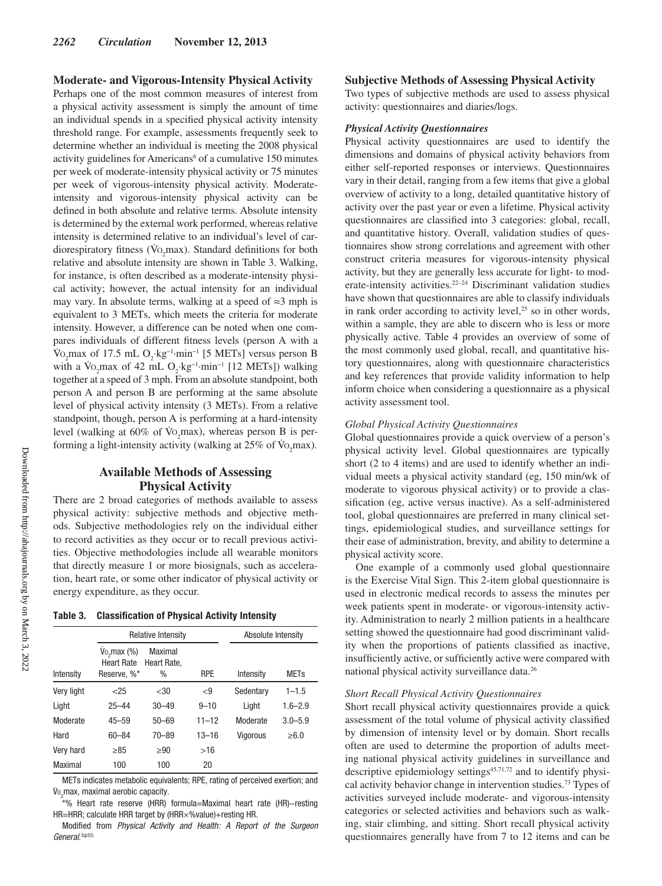# **Moderate- and Vigorous-Intensity Physical Activity**

Perhaps one of the most common measures of interest from a physical activity assessment is simply the amount of time an individual spends in a specified physical activity intensity threshold range. For example, assessments frequently seek to determine whether an individual is meeting the 2008 physical activity guidelines for Americans<sup>6</sup> of a cumulative 150 minutes per week of moderate-intensity physical activity or 75 minutes per week of vigorous-intensity physical activity. Moderateintensity and vigorous-intensity physical activity can be defined in both absolute and relative terms. Absolute intensity is determined by the external work performed, whereas relative intensity is determined relative to an individual's level of cardiorespiratory fitness ( $\rm\ddot{V}o_{2}$ max). Standard definitions for both relative and absolute intensity are shown in Table 3. Walking, for instance, is often described as a moderate-intensity physical activity; however, the actual intensity for an individual may vary. In absolute terms, walking at a speed of ≈3 mph is equivalent to 3 METs, which meets the criteria for moderate intensity. However, a difference can be noted when one compares individuals of different fitness levels (person A with a  $\text{Vo}_{2}$ max of 17.5 mL  $\text{O}_{2}$ ·kg<sup>-1</sup>·min<sup>-1</sup> [5 METs] versus person B with a  $\text{Vo}_{2}$ max of 42 mL  $\text{O}_{2}$ ·kg<sup>-1</sup>·min<sup>-1</sup> [12 METs]) walking together at a speed of 3 mph. From an absolute standpoint, both person A and person B are performing at the same absolute level of physical activity intensity (3 METs). From a relative standpoint, though, person A is performing at a hard-intensity level (walking at  $60\%$  of  $\text{V}_{2}$ max), whereas person B is performing a light-intensity activity (walking at  $25\%$  of  $\text{Vo}_{2}$ max).

# **Available Methods of Assessing Physical Activity**

There are 2 broad categories of methods available to assess physical activity: subjective methods and objective methods. Subjective methodologies rely on the individual either to record activities as they occur or to recall previous activities. Objective methodologies include all wearable monitors that directly measure 1 or more biosignals, such as acceleration, heart rate, or some other indicator of physical activity or energy expenditure, as they occur.

| Table 3. | <b>Classification of Physical Activity Intensity</b> |  |  |  |
|----------|------------------------------------------------------|--|--|--|
|----------|------------------------------------------------------|--|--|--|

|            |                                                        | <b>Relative Intensity</b>   |            |           | Absolute Intensity |  |  |
|------------|--------------------------------------------------------|-----------------------------|------------|-----------|--------------------|--|--|
| Intensity  | $V_0$ , max $(\%)$<br><b>Heart Rate</b><br>Reserve, %* | Maximal<br>Heart Rate.<br>% | <b>RPE</b> | Intensity | <b>METs</b>        |  |  |
| Very light | ${<}25$                                                | $30$                        | $\leq$ 9   | Sedentary | $1 - 1.5$          |  |  |
| Light      | $25 - 44$                                              | $30 - 49$                   | $9 - 10$   | Light     | $1.6 - 2.9$        |  |  |
| Moderate   | $45 - 59$                                              | $50 - 69$                   | $11 - 12$  | Moderate  | $3.0 - 5.9$        |  |  |
| Hard       | 60-84                                                  | 70-89                       | $13 - 16$  | Vigorous  | > 6.0              |  |  |
| Very hard  | >85                                                    | >90                         | >16        |           |                    |  |  |
| Maximal    | 100                                                    | 100                         | 20         |           |                    |  |  |

METs indicates metabolic equivalents; RPE, rating of perceived exertion; and  $\dot{\mathsf{V}}\text{o}_2$ max, maximal aerobic capacity.

\*% Heart rate reserve (HRR) formula=Maximal heart rate (HR)−resting HR=HRR; calculate HRR target by (HRR×%value)+resting HR.

Modified from Physical Activity and Health: A Report of the Surgeon General.<sup>3(p33)</sup>

# **Subjective Methods of Assessing Physical Activity**

Two types of subjective methods are used to assess physical activity: questionnaires and diaries/logs.

# *Physical Activity Questionnaires*

Physical activity questionnaires are used to identify the dimensions and domains of physical activity behaviors from either self-reported responses or interviews. Questionnaires vary in their detail, ranging from a few items that give a global overview of activity to a long, detailed quantitative history of activity over the past year or even a lifetime. Physical activity questionnaires are classified into 3 categories: global, recall, and quantitative history. Overall, validation studies of questionnaires show strong correlations and agreement with other construct criteria measures for vigorous-intensity physical activity, but they are generally less accurate for light- to moderate-intensity activities.<sup>22-24</sup> Discriminant validation studies have shown that questionnaires are able to classify individuals in rank order according to activity level, $25$  so in other words, within a sample, they are able to discern who is less or more physically active. Table 4 provides an overview of some of the most commonly used global, recall, and quantitative history questionnaires, along with questionnaire characteristics and key references that provide validity information to help inform choice when considering a questionnaire as a physical activity assessment tool.

### *Global Physical Activity Questionnaires*

Global questionnaires provide a quick overview of a person's physical activity level. Global questionnaires are typically short (2 to 4 items) and are used to identify whether an individual meets a physical activity standard (eg, 150 min/wk of moderate to vigorous physical activity) or to provide a classification (eg, active versus inactive). As a self-administered tool, global questionnaires are preferred in many clinical settings, epidemiological studies, and surveillance settings for their ease of administration, brevity, and ability to determine a physical activity score.

One example of a commonly used global questionnaire is the Exercise Vital Sign. This 2-item global questionnaire is used in electronic medical records to assess the minutes per week patients spent in moderate- or vigorous-intensity activity. Administration to nearly 2 million patients in a healthcare setting showed the questionnaire had good discriminant validity when the proportions of patients classified as inactive, insufficiently active, or sufficiently active were compared with national physical activity surveillance data.26

## *Short Recall Physical Activity Questionnaires*

Short recall physical activity questionnaires provide a quick assessment of the total volume of physical activity classified by dimension of intensity level or by domain. Short recalls often are used to determine the proportion of adults meeting national physical activity guidelines in surveillance and descriptive epidemiology settings<sup>45,71,72</sup> and to identify physical activity behavior change in intervention studies.73 Types of activities surveyed include moderate- and vigorous-intensity categories or selected activities and behaviors such as walking, stair climbing, and sitting. Short recall physical activity questionnaires generally have from 7 to 12 items and can be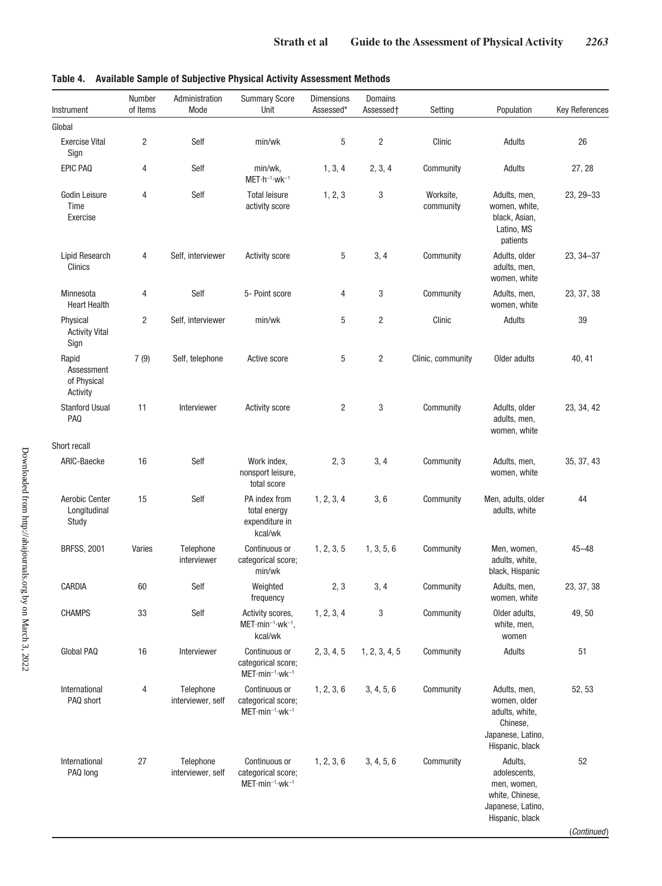| Instrument                                     | Number<br>of Items | Administration<br>Mode         | <b>Summary Score</b><br>Unit                                                   | <b>Dimensions</b><br>Assessed* | Domains<br>Assessed† | Setting                | Population                                                                                         | <b>Key References</b> |
|------------------------------------------------|--------------------|--------------------------------|--------------------------------------------------------------------------------|--------------------------------|----------------------|------------------------|----------------------------------------------------------------------------------------------------|-----------------------|
| Global                                         |                    |                                |                                                                                |                                |                      |                        |                                                                                                    |                       |
| <b>Exercise Vital</b><br>Sign                  | $\overline{c}$     | Self                           | min/wk                                                                         | 5                              | $\overline{c}$       | Clinic                 | Adults                                                                                             | 26                    |
| EPIC PAQ                                       | 4                  | Self                           | min/wk,<br>$MET·h-1·wk-1$                                                      | 1, 3, 4                        | 2, 3, 4              | Community              | Adults                                                                                             | 27, 28                |
| Godin Leisure<br>Time<br>Exercise              | 4                  | Self                           | <b>Total leisure</b><br>activity score                                         | 1, 2, 3                        | 3                    | Worksite,<br>community | Adults, men,<br>women, white,<br>black, Asian,<br>Latino, MS<br>patients                           | 23, 29-33             |
| <b>Lipid Research</b><br>Clinics               | 4                  | Self, interviewer              | <b>Activity score</b>                                                          | 5                              | 3, 4                 | Community              | Adults, older<br>adults, men,<br>women, white                                                      | 23, 34-37             |
| Minnesota<br><b>Heart Health</b>               | 4                  | Self                           | 5- Point score                                                                 | 4                              | 3                    | Community              | Adults, men,<br>women, white                                                                       | 23, 37, 38            |
| Physical<br><b>Activity Vital</b><br>Sign      | 2                  | Self, interviewer              | min/wk                                                                         | 5                              | $\overline{c}$       | Clinic                 | Adults                                                                                             | 39                    |
| Rapid<br>Assessment<br>of Physical<br>Activity | 7(9)               | Self, telephone                | Active score                                                                   | 5                              | $\overline{2}$       | Clinic, community      | Older adults                                                                                       | 40, 41                |
| <b>Stanford Usual</b><br>PAQ                   | 11                 | Interviewer                    | <b>Activity score</b>                                                          | 2                              | 3                    | Community              | Adults, older<br>adults, men,<br>women, white                                                      | 23, 34, 42            |
| Short recall                                   |                    |                                |                                                                                |                                |                      |                        |                                                                                                    |                       |
| ARIC-Baecke                                    | 16                 | Self                           | Work index,<br>nonsport leisure,<br>total score                                | 2, 3                           | 3, 4                 | Community              | Adults, men,<br>women, white                                                                       | 35, 37, 43            |
| Aerobic Center<br>Longitudinal<br>Study        | 15                 | Self                           | PA index from<br>total energy<br>expenditure in<br>kcal/wk                     | 1, 2, 3, 4                     | 3, 6                 | Community              | Men, adults, older<br>adults, white                                                                | 44                    |
| <b>BRFSS, 2001</b>                             | Varies             | Telephone<br>interviewer       | Continuous or<br>categorical score;<br>min/wk                                  | 1, 2, 3, 5                     | 1, 3, 5, 6           | Community              | Men, women,<br>adults, white,<br>black, Hispanic                                                   | $45 - 48$             |
| CARDIA                                         | 60                 | Self                           | Weighted<br>frequency                                                          | 2, 3                           | 3, 4                 | Community              | Adults, men,<br>women, white                                                                       | 23, 37, 38            |
| <b>CHAMPS</b>                                  | 33                 | Self                           | Activity scores,<br>$MET·min-1·wk-1,$<br>kcal/wk                               | 1, 2, 3, 4                     | 3                    | Community              | Older adults,<br>white, men,<br>women                                                              | 49,50                 |
| Global PAQ                                     | 16                 | Interviewer                    | Continuous or<br>categorical score;<br>MET-min <sup>-1</sup> -wk <sup>-1</sup> | 2, 3, 4, 5                     | 1, 2, 3, 4, 5        | Community              | Adults                                                                                             | 51                    |
| International<br>PAQ short                     | 4                  | Telephone<br>interviewer, self | Continuous or<br>categorical score;<br>MET·min <sup>-1</sup> ·wk <sup>-1</sup> | 1, 2, 3, 6                     | 3, 4, 5, 6           | Community              | Adults, men,<br>women, older<br>adults, white,<br>Chinese,<br>Japanese, Latino,<br>Hispanic, black | 52, 53                |
| International<br>PAQ long                      | 27                 | Telephone<br>interviewer, self | Continuous or<br>categorical score;<br>MET·min <sup>-1</sup> ·wk <sup>-1</sup> | 1, 2, 3, 6                     | 3, 4, 5, 6           | Community              | Adults,<br>adolescents,<br>men, women,<br>white, Chinese,<br>Japanese, Latino,<br>Hispanic, black  | 52                    |
|                                                |                    |                                |                                                                                |                                |                      |                        |                                                                                                    | (Continued)           |

| Table 4. Available Sample of Subjective Physical Activity Assessment Methods |  |  |  |
|------------------------------------------------------------------------------|--|--|--|
|                                                                              |  |  |  |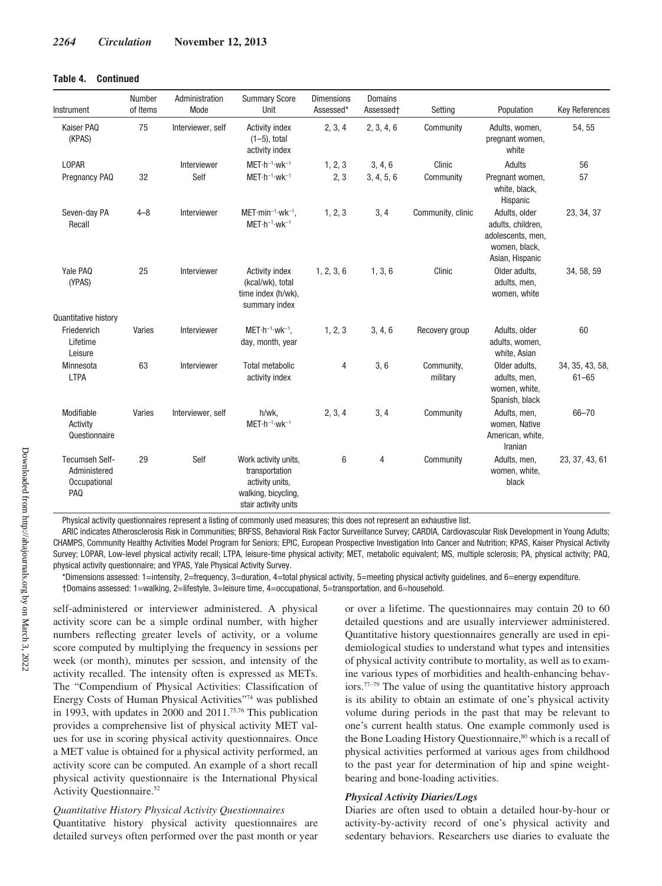# **Table 4. Continued**

| Instrument                                                   | Number<br>of Items | Administration<br>Mode | <b>Summary Score</b><br>Unit                                                                             | <b>Dimensions</b><br>Assessed* | <b>Domains</b><br>Assessed <sup>+</sup> | Setting                | Population                                                                                  | <b>Key References</b>        |
|--------------------------------------------------------------|--------------------|------------------------|----------------------------------------------------------------------------------------------------------|--------------------------------|-----------------------------------------|------------------------|---------------------------------------------------------------------------------------------|------------------------------|
| Kaiser PAQ<br>(KPAS)                                         | 75                 | Interviewer, self      | <b>Activity index</b><br>$(1-5)$ , total<br>activity index                                               | 2, 3, 4                        | 2, 3, 4, 6                              | Community              | Adults, women,<br>pregnant women,<br>white                                                  | 54, 55                       |
| <b>LOPAR</b>                                                 |                    | Interviewer            | $MET·h-1·wk-1$                                                                                           | 1, 2, 3                        | 3, 4, 6                                 | Clinic                 | Adults                                                                                      | 56                           |
| Pregnancy PAQ                                                | 32                 | Self                   | $MET·h-1·wk-1$                                                                                           | 2, 3                           | 3, 4, 5, 6                              | Community              | Pregnant women,<br>white, black,<br>Hispanic                                                | 57                           |
| Seven-day PA<br>Recall                                       | $4 - 8$            | Interviewer            | $MET·min-1·wk-1$ ,<br>$MET·h-1·wk-1$                                                                     | 1, 2, 3                        | 3, 4                                    | Community, clinic      | Adults, older<br>adults, children,<br>adolescents, men,<br>women, black,<br>Asian, Hispanic | 23, 34, 37                   |
| Yale PAQ<br>(YPAS)                                           | 25                 | Interviewer            | <b>Activity index</b><br>(kcal/wk), total<br>time index (h/wk),<br>summary index                         | 1, 2, 3, 6                     | 1, 3, 6                                 | Clinic                 | Older adults,<br>adults, men,<br>women, white                                               | 34, 58, 59                   |
| Quantitative history                                         |                    |                        |                                                                                                          |                                |                                         |                        |                                                                                             |                              |
| Friedenrich<br>Lifetime<br>Leisure                           | Varies             | Interviewer            | $MET·h-1·wk-1$ ,<br>day, month, year                                                                     | 1, 2, 3                        | 3, 4, 6                                 | Recovery group         | Adults, older<br>adults, women,<br>white, Asian                                             | 60                           |
| Minnesota<br><b>LTPA</b>                                     | 63                 | Interviewer            | <b>Total metabolic</b><br>activity index                                                                 | $\overline{4}$                 | 3,6                                     | Community,<br>military | Older adults.<br>adults, men,<br>women, white,<br>Spanish, black                            | 34, 35, 43, 58,<br>$61 - 65$ |
| Modifiable<br>Activity<br>Questionnaire                      | Varies             | Interviewer, self      | h/wk,<br>$MET·h-1·wk-1$                                                                                  | 2, 3, 4                        | 3, 4                                    | Community              | Adults, men,<br>women. Native<br>American, white,<br>Iranian                                | $66 - 70$                    |
| <b>Tecumseh Self-</b><br>Administered<br>Occupational<br>PAQ | 29                 | Self                   | Work activity units,<br>transportation<br>activity units,<br>walking, bicycling,<br>stair activity units | 6                              | 4                                       | Community              | Adults, men,<br>women, white,<br>black                                                      | 23, 37, 43, 61               |

Physical activity questionnaires represent a listing of commonly used measures; this does not represent an exhaustive list.

ARIC indicates Atherosclerosis Risk in Communities; BRFSS, Behavioral Risk Factor Surveillance Survey; CARDIA, Cardiovascular Risk Development in Young Adults; CHAMPS, Community Healthy Activities Model Program for Seniors; EPIC, European Prospective Investigation Into Cancer and Nutrition; KPAS, Kaiser Physical Activity Survey; LOPAR, Low-level physical activity recall; LTPA, leisure-time physical activity; MET, metabolic equivalent; MS, multiple sclerosis; PA, physical activity; PAQ, physical activity questionnaire; and YPAS, Yale Physical Activity Survey.

\*Dimensions assessed: 1=intensity, 2=frequency, 3=duration, 4=total physical activity, 5=meeting physical activity guidelines, and 6=energy expenditure. †Domains assessed: 1=walking, 2=lifestyle, 3=leisure time, 4=occupational, 5=transportation, and 6=household.

self-administered or interviewer administered. A physical activity score can be a simple ordinal number, with higher numbers reflecting greater levels of activity, or a volume score computed by multiplying the frequency in sessions per week (or month), minutes per session, and intensity of the activity recalled. The intensity often is expressed as METs. The "Compendium of Physical Activities: Classification of Energy Costs of Human Physical Activities"74 was published in 1993, with updates in 2000 and 2011.75,76 This publication provides a comprehensive list of physical activity MET values for use in scoring physical activity questionnaires. Once a MET value is obtained for a physical activity performed, an activity score can be computed. An example of a short recall physical activity questionnaire is the International Physical Activity Questionnaire.52

### *Quantitative History Physical Activity Questionnaires*

Quantitative history physical activity questionnaires are detailed surveys often performed over the past month or year or over a lifetime. The questionnaires may contain 20 to 60 detailed questions and are usually interviewer administered. Quantitative history questionnaires generally are used in epidemiological studies to understand what types and intensities of physical activity contribute to mortality, as well as to examine various types of morbidities and health-enhancing behaviors.77–79 The value of using the quantitative history approach is its ability to obtain an estimate of one's physical activity volume during periods in the past that may be relevant to one's current health status. One example commonly used is the Bone Loading History Questionnaire,<sup>80</sup> which is a recall of physical activities performed at various ages from childhood to the past year for determination of hip and spine weightbearing and bone-loading activities.

# *Physical Activity Diaries/Logs*

Diaries are often used to obtain a detailed hour-by-hour or activity-by-activity record of one's physical activity and sedentary behaviors. Researchers use diaries to evaluate the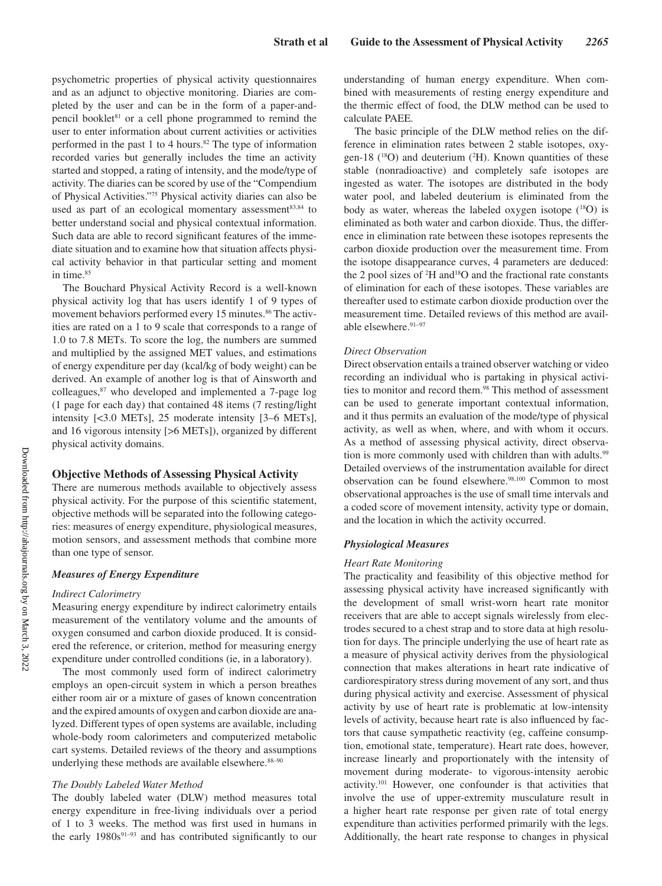psychometric properties of physical activity questionnaires and as an adjunct to objective monitoring. Diaries are completed by the user and can be in the form of a paper-andpencil booklet<sup>81</sup> or a cell phone programmed to remind the user to enter information about current activities or activities performed in the past 1 to 4 hours.<sup>82</sup> The type of information recorded varies but generally includes the time an activity started and stopped, a rating of intensity, and the mode/type of activity. The diaries can be scored by use of the "Compendium of Physical Activities."75 Physical activity diaries can also be used as part of an ecological momentary assessment<sup>83,84</sup> to better understand social and physical contextual information. Such data are able to record significant features of the immediate situation and to examine how that situation affects physical activity behavior in that particular setting and moment in time.<sup>85</sup>

The Bouchard Physical Activity Record is a well-known physical activity log that has users identify 1 of 9 types of movement behaviors performed every 15 minutes.<sup>86</sup> The activities are rated on a 1 to 9 scale that corresponds to a range of 1.0 to 7.8 METs. To score the log, the numbers are summed and multiplied by the assigned MET values, and estimations of energy expenditure per day (kcal/kg of body weight) can be derived. An example of another log is that of Ainsworth and colleagues,87 who developed and implemented a 7-page log (1 page for each day) that contained 48 items (7 resting/light intensity [<3.0 METs], 25 moderate intensity [3–6 METs], and 16 vigorous intensity [>6 METs]), organized by different physical activity domains.

#### **Objective Methods of Assessing Physical Activity**

There are numerous methods available to objectively assess physical activity. For the purpose of this scientific statement, objective methods will be separated into the following categories: measures of energy expenditure, physiological measures, motion sensors, and assessment methods that combine more than one type of sensor.

### *Measures of Energy Expenditure*

#### *Indirect Calorimetry*

Measuring energy expenditure by indirect calorimetry entails measurement of the ventilatory volume and the amounts of oxygen consumed and carbon dioxide produced. It is considered the reference, or criterion, method for measuring energy expenditure under controlled conditions (ie, in a laboratory).

The most commonly used form of indirect calorimetry employs an open-circuit system in which a person breathes either room air or a mixture of gases of known concentration and the expired amounts of oxygen and carbon dioxide are analyzed. Different types of open systems are available, including whole-body room calorimeters and computerized metabolic cart systems. Detailed reviews of the theory and assumptions underlying these methods are available elsewhere.<sup>88–90</sup>

### *The Doubly Labeled Water Method*

The doubly labeled water (DLW) method measures total energy expenditure in free-living individuals over a period of 1 to 3 weeks. The method was first used in humans in the early  $1980s^{91-93}$  and has contributed significantly to our understanding of human energy expenditure. When combined with measurements of resting energy expenditure and the thermic effect of food, the DLW method can be used to calculate PAEE.

The basic principle of the DLW method relies on the difference in elimination rates between 2 stable isotopes, oxygen-18  $(^{18}O)$  and deuterium  $(^{2}H)$ . Known quantities of these stable (nonradioactive) and completely safe isotopes are ingested as water. The isotopes are distributed in the body water pool, and labeled deuterium is eliminated from the body as water, whereas the labeled oxygen isotope  $(^{18}O)$  is eliminated as both water and carbon dioxide. Thus, the difference in elimination rate between these isotopes represents the carbon dioxide production over the measurement time. From the isotope disappearance curves, 4 parameters are deduced: the 2 pool sizes of  ${}^{2}H$  and  ${}^{18}O$  and the fractional rate constants of elimination for each of these isotopes. These variables are thereafter used to estimate carbon dioxide production over the measurement time. Detailed reviews of this method are available elsewhere.91–97

# *Direct Observation*

Direct observation entails a trained observer watching or video recording an individual who is partaking in physical activities to monitor and record them.<sup>98</sup> This method of assessment can be used to generate important contextual information, and it thus permits an evaluation of the mode/type of physical activity, as well as when, where, and with whom it occurs. As a method of assessing physical activity, direct observation is more commonly used with children than with adults.<sup>99</sup> Detailed overviews of the instrumentation available for direct observation can be found elsewhere.<sup>98,100</sup> Common to most observational approaches is the use of small time intervals and a coded score of movement intensity, activity type or domain, and the location in which the activity occurred.

# *Physiological Measures*

#### *Heart Rate Monitoring*

The practicality and feasibility of this objective method for assessing physical activity have increased significantly with the development of small wrist-worn heart rate monitor receivers that are able to accept signals wirelessly from electrodes secured to a chest strap and to store data at high resolution for days. The principle underlying the use of heart rate as a measure of physical activity derives from the physiological connection that makes alterations in heart rate indicative of cardiorespiratory stress during movement of any sort, and thus during physical activity and exercise. Assessment of physical activity by use of heart rate is problematic at low-intensity levels of activity, because heart rate is also influenced by factors that cause sympathetic reactivity (eg, caffeine consumption, emotional state, temperature). Heart rate does, however, increase linearly and proportionately with the intensity of movement during moderate- to vigorous-intensity aerobic activity.101 However, one confounder is that activities that involve the use of upper-extremity musculature result in a higher heart rate response per given rate of total energy expenditure than activities performed primarily with the legs. Additionally, the heart rate response to changes in physical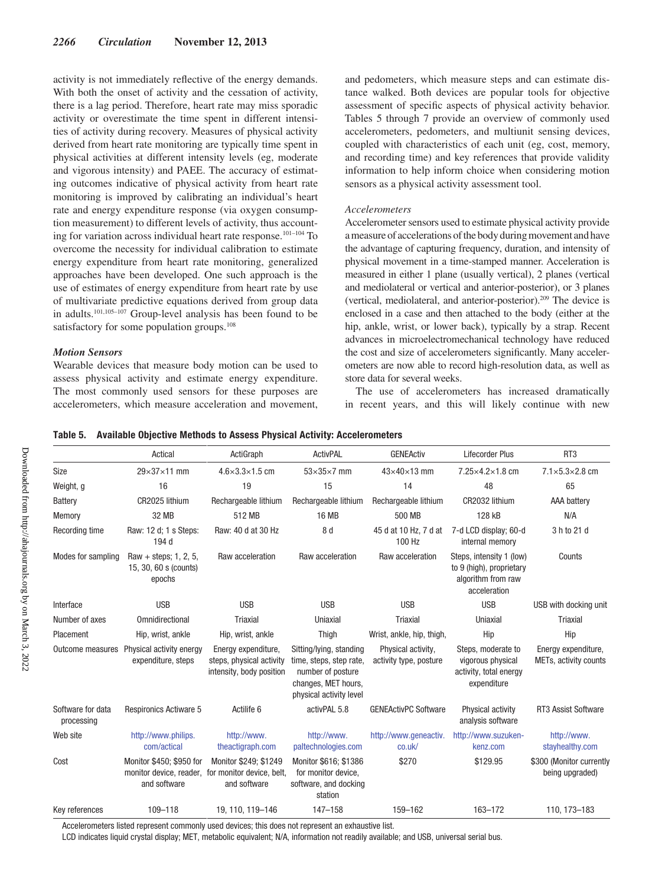activity is not immediately reflective of the energy demands. With both the onset of activity and the cessation of activity, there is a lag period. Therefore, heart rate may miss sporadic activity or overestimate the time spent in different intensities of activity during recovery. Measures of physical activity derived from heart rate monitoring are typically time spent in physical activities at different intensity levels (eg, moderate and vigorous intensity) and PAEE. The accuracy of estimating outcomes indicative of physical activity from heart rate monitoring is improved by calibrating an individual's heart rate and energy expenditure response (via oxygen consumption measurement) to different levels of activity, thus accounting for variation across individual heart rate response.101–104 To overcome the necessity for individual calibration to estimate energy expenditure from heart rate monitoring, generalized approaches have been developed. One such approach is the use of estimates of energy expenditure from heart rate by use of multivariate predictive equations derived from group data in adults.101,105–107 Group-level analysis has been found to be satisfactory for some population groups.<sup>108</sup>

# *Motion Sensors*

Wearable devices that measure body motion can be used to assess physical activity and estimate energy expenditure. The most commonly used sensors for these purposes are accelerometers, which measure acceleration and movement,

and pedometers, which measure steps and can estimate distance walked. Both devices are popular tools for objective assessment of specific aspects of physical activity behavior. Tables 5 through 7 provide an overview of commonly used accelerometers, pedometers, and multiunit sensing devices, coupled with characteristics of each unit (eg, cost, memory, and recording time) and key references that provide validity information to help inform choice when considering motion sensors as a physical activity assessment tool.

# *Accelerometers*

Accelerometer sensors used to estimate physical activity provide a measure of accelerations of the body during movement and have the advantage of capturing frequency, duration, and intensity of physical movement in a time-stamped manner. Acceleration is measured in either 1 plane (usually vertical), 2 planes (vertical and mediolateral or vertical and anterior-posterior), or 3 planes (vertical, mediolateral, and anterior-posterior).209 The device is enclosed in a case and then attached to the body (either at the hip, ankle, wrist, or lower back), typically by a strap. Recent advances in microelectromechanical technology have reduced the cost and size of accelerometers significantly. Many accelerometers are now able to record high-resolution data, as well as store data for several weeks.

The use of accelerometers has increased dramatically in recent years, and this will likely continue with new

|  | Table 5.     Available Objective Methods to Assess Physical Activity: Accelerometers |  |
|--|--------------------------------------------------------------------------------------|--|
|  |                                                                                      |  |

|                                 | Actical                                                  | ActiGraph                                                                                  | <b>ActivPAL</b>                                                                                                           | <b>GENEActiv</b>                             | <b>Lifecorder Plus</b>                                                                     | RT <sub>3</sub>                                     |
|---------------------------------|----------------------------------------------------------|--------------------------------------------------------------------------------------------|---------------------------------------------------------------------------------------------------------------------------|----------------------------------------------|--------------------------------------------------------------------------------------------|-----------------------------------------------------|
| <b>Size</b>                     | $29\times37\times11$ mm                                  | $4.6 \times 3.3 \times 1.5$ cm                                                             | $53\times35\times7$ mm                                                                                                    | $43\times40\times13$ mm                      | $7.25\times4.2\times1.8$ cm                                                                | $7.1\times5.3\times2.8$ cm                          |
| Weight, g                       | 16                                                       | 19                                                                                         | 15                                                                                                                        | 14                                           | 48                                                                                         | 65                                                  |
| Battery                         | CR2025 lithium                                           | Rechargeable lithium                                                                       | Rechargeable lithium                                                                                                      | Rechargeable lithium                         | CR2032 lithium                                                                             | AAA battery                                         |
| Memory                          | 32 MB                                                    | 512 MB                                                                                     | <b>16 MB</b>                                                                                                              | 500 MB                                       | 128 kB                                                                                     | N/A                                                 |
| <b>Recording time</b>           | Raw: 12 d; 1 s Steps:<br>194 d                           | Raw: 40 d at 30 Hz                                                                         | 8 d                                                                                                                       | 45 d at 10 Hz, 7 d at<br>100 Hz              | 7-d LCD display; 60-d<br>internal memory                                                   | 3 h to 21 d                                         |
| Modes for sampling              | Raw + steps; 1, 2, 5,<br>15, 30, 60 s (counts)<br>epochs | Raw acceleration                                                                           | Raw acceleration                                                                                                          | Raw acceleration                             | Steps, intensity 1 (low)<br>to 9 (high), proprietary<br>algorithm from raw<br>acceleration | Counts                                              |
| Interface                       | <b>USB</b>                                               | <b>USB</b>                                                                                 | <b>USB</b>                                                                                                                | <b>USB</b>                                   | <b>USB</b>                                                                                 | USB with docking unit                               |
| Number of axes                  | Omnidirectional                                          | <b>Triaxial</b>                                                                            | Uniaxial                                                                                                                  | Triaxial                                     | Uniaxial                                                                                   | Triaxial                                            |
| Placement                       | Hip, wrist, ankle                                        | Hip, wrist, ankle                                                                          | Thigh                                                                                                                     | Wrist, ankle, hip, thigh,                    | Hip                                                                                        | Hip                                                 |
| Outcome measures                | Physical activity energy<br>expenditure, steps           | Energy expenditure.<br>steps, physical activity<br>intensity, body position                | Sitting/lying, standing<br>time, steps, step rate,<br>number of posture<br>changes, MET hours,<br>physical activity level | Physical activity,<br>activity type, posture | Steps, moderate to<br>vigorous physical<br>activity, total energy<br>expenditure           | Energy expenditure,<br><b>METs, activity counts</b> |
| Software for data<br>processing | <b>Respironics Actiware 5</b>                            | Actilife 6                                                                                 | activPAL 5.8                                                                                                              | <b>GENEActivPC Software</b>                  | Physical activity<br>analysis software                                                     | <b>RT3 Assist Software</b>                          |
| Web site                        | http://www.philips.<br>com/actical                       | http://www.<br>theactigraph.com                                                            | http://www.<br>paltechnologies.com                                                                                        | http://www.geneactiv.<br>co.uk/              | http://www.suzuken-<br>kenz.com                                                            | http://www.<br>stayhealthy.com                      |
| Cost                            | Monitor \$450: \$950 for<br>and software                 | Monitor \$249: \$1249<br>monitor device, reader, for monitor device, belt,<br>and software | Monitor \$616: \$1386<br>for monitor device,<br>software, and docking<br>station                                          | \$270                                        | \$129.95                                                                                   | \$300 (Monitor currently<br>being upgraded)         |
| Key references                  | 109-118                                                  | 19, 110, 119-146                                                                           | $147 - 158$                                                                                                               | 159-162                                      | 163-172                                                                                    | 110, 173-183                                        |

Accelerometers listed represent commonly used devices; this does not represent an exhaustive list.

LCD indicates liquid crystal display; MET, metabolic equivalent; N/A, information not readily available; and USB, universal serial bus.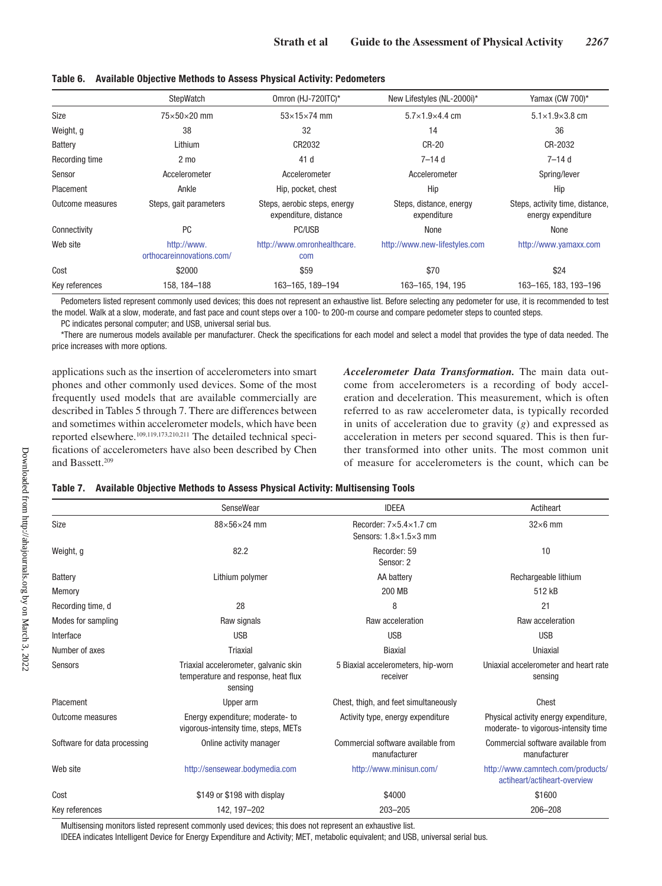|                  | StepWatch                                | Omron (HJ-720ITC)*                                    | New Lifestyles (NL-2000i)*             | Yamax (CW 700)*                                       |
|------------------|------------------------------------------|-------------------------------------------------------|----------------------------------------|-------------------------------------------------------|
| Size             | $75\times50\times20$ mm                  | $53\times15\times74$ mm                               | $5.7 \times 1.9 \times 4.4$ cm         | $5.1 \times 1.9 \times 3.8$ cm                        |
| Weight, g        | 38                                       | 32                                                    | 14                                     | 36                                                    |
| Battery          | Lithium                                  | CR2032                                                | <b>CR-20</b>                           | CR-2032                                               |
| Recording time   | 2 <sub>mo</sub>                          | 41 d                                                  | $7 - 14d$                              | $7 - 14d$                                             |
| Sensor           | Accelerometer                            | Accelerometer                                         | Accelerometer                          | Spring/lever                                          |
| Placement        | Ankle                                    | Hip, pocket, chest                                    | Hip                                    | Hip                                                   |
| Outcome measures | Steps, gait parameters                   | Steps, aerobic steps, energy<br>expenditure, distance | Steps, distance, energy<br>expenditure | Steps, activity time, distance,<br>energy expenditure |
| Connectivity     | <b>PC</b>                                | PC/USB                                                | None                                   | None                                                  |
| Web site         | http://www.<br>orthocareinnovations.com/ | http://www.omronhealthcare.<br>com                    | http://www.new-lifestyles.com          | http://www.yamaxx.com                                 |
| Cost             | \$2000                                   | \$59                                                  | \$70                                   | \$24                                                  |
| Key references   | 158, 184-188                             | 163-165, 189-194                                      | 163-165, 194, 195                      | 163-165, 183, 193-196                                 |

| Table 6. Available Objective Methods to Assess Physical Activity: Pedometers |  |  |  |  |  |  |
|------------------------------------------------------------------------------|--|--|--|--|--|--|
|------------------------------------------------------------------------------|--|--|--|--|--|--|

Pedometers listed represent commonly used devices; this does not represent an exhaustive list. Before selecting any pedometer for use, it is recommended to test the model. Walk at a slow, moderate, and fast pace and count steps over a 100- to 200-m course and compare pedometer steps to counted steps.

PC indicates personal computer; and USB, universal serial bus.

\*There are numerous models available per manufacturer. Check the specifications for each model and select a model that provides the type of data needed. The price increases with more options.

applications such as the insertion of accelerometers into smart phones and other commonly used devices. Some of the most frequently used models that are available commercially are described in Tables 5 through 7. There are differences between and sometimes within accelerometer models, which have been reported elsewhere.109,119,173,210,211 The detailed technical specifications of accelerometers have also been described by Chen and Bassett.209

*Accelerometer Data Transformation.* The main data outcome from accelerometers is a recording of body acceleration and deceleration. This measurement, which is often referred to as raw accelerometer data, is typically recorded in units of acceleration due to gravity (*g*) and expressed as acceleration in meters per second squared. This is then further transformed into other units. The most common unit of measure for accelerometers is the count, which can be

|  | Table 7.    Available Objective Methods to Assess Physical Activity: Multisensing Tools |  |  |
|--|-----------------------------------------------------------------------------------------|--|--|
|  |                                                                                         |  |  |

|                              | SenseWear                                                                               | <b>IDEEA</b>                                                            | Actiheart                                                                     |
|------------------------------|-----------------------------------------------------------------------------------------|-------------------------------------------------------------------------|-------------------------------------------------------------------------------|
| Size                         | $88\times56\times24$ mm                                                                 | Recorder: $7\times5.4\times1.7$ cm<br>Sensors: $1.8\times1.5\times3$ mm | $32\times 6$ mm                                                               |
| Weight, g                    | 82.2                                                                                    | Recorder: 59<br>Sensor: 2                                               | 10                                                                            |
| Battery                      | Lithium polymer                                                                         | AA battery                                                              | Rechargeable lithium                                                          |
| Memory                       |                                                                                         | 200 MB                                                                  | 512 kB                                                                        |
| Recording time, d            | 28                                                                                      | 8                                                                       | 21                                                                            |
| Modes for sampling           | Raw signals                                                                             | Raw acceleration                                                        | Raw acceleration                                                              |
| Interface                    | <b>USB</b>                                                                              | <b>USB</b>                                                              | <b>USB</b>                                                                    |
| Number of axes               | <b>Triaxial</b>                                                                         | <b>Biaxial</b>                                                          | Uniaxial                                                                      |
| Sensors                      | Triaxial accelerometer, galvanic skin<br>temperature and response, heat flux<br>sensing | 5 Biaxial accelerometers, hip-worn<br>receiver                          | Uniaxial accelerometer and heart rate<br>sensing                              |
| Placement                    | Upper arm                                                                               | Chest, thigh, and feet simultaneously                                   | Chest                                                                         |
| Outcome measures             | Energy expenditure; moderate- to<br>vigorous-intensity time, steps, METs                | Activity type, energy expenditure                                       | Physical activity energy expenditure,<br>moderate- to vigorous-intensity time |
| Software for data processing | Online activity manager                                                                 | Commercial software available from<br>manufacturer                      | Commercial software available from<br>manufacturer                            |
| Web site                     | http://sensewear.bodymedia.com                                                          | http://www.minisun.com/                                                 | http://www.camntech.com/products/<br>actiheart/actiheart-overview             |
| Cost                         | \$149 or \$198 with display                                                             | \$4000                                                                  | \$1600                                                                        |
| Key references               | 142.197-202                                                                             | $203 - 205$                                                             | 206-208                                                                       |

Multisensing monitors listed represent commonly used devices; this does not represent an exhaustive list.

IDEEA indicates Intelligent Device for Energy Expenditure and Activity; MET, metabolic equivalent; and USB, universal serial bus.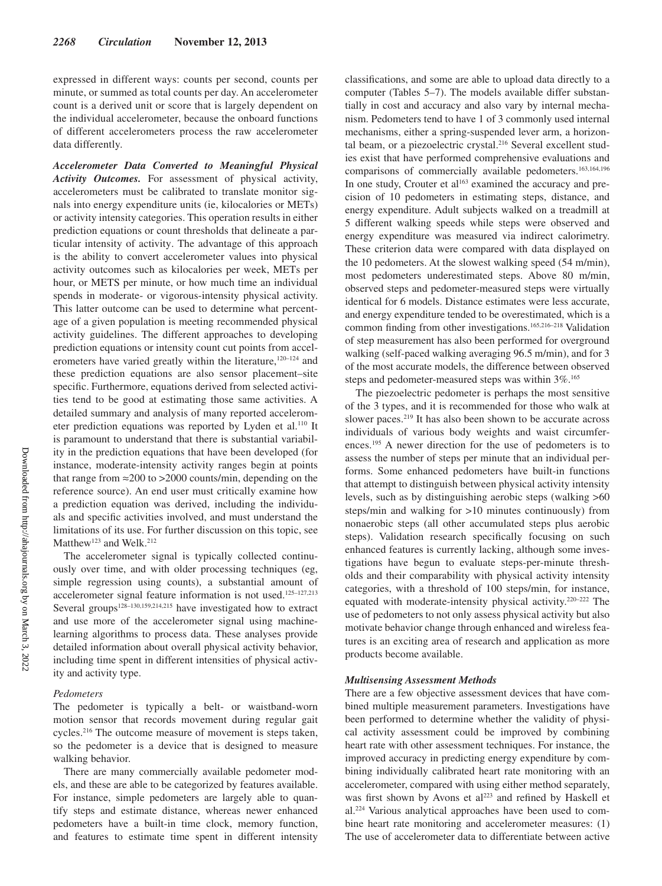expressed in different ways: counts per second, counts per minute, or summed as total counts per day. An accelerometer count is a derived unit or score that is largely dependent on the individual accelerometer, because the onboard functions of different accelerometers process the raw accelerometer data differently.

*Accelerometer Data Converted to Meaningful Physical Activity Outcomes.* For assessment of physical activity, accelerometers must be calibrated to translate monitor signals into energy expenditure units (ie, kilocalories or METs) or activity intensity categories. This operation results in either prediction equations or count thresholds that delineate a particular intensity of activity. The advantage of this approach is the ability to convert accelerometer values into physical activity outcomes such as kilocalories per week, METs per hour, or METS per minute, or how much time an individual spends in moderate- or vigorous-intensity physical activity. This latter outcome can be used to determine what percentage of a given population is meeting recommended physical activity guidelines. The different approaches to developing prediction equations or intensity count cut points from accelerometers have varied greatly within the literature, $120-124$  and these prediction equations are also sensor placement–site specific. Furthermore, equations derived from selected activities tend to be good at estimating those same activities. A detailed summary and analysis of many reported accelerometer prediction equations was reported by Lyden et al.110 It is paramount to understand that there is substantial variability in the prediction equations that have been developed (for instance, moderate-intensity activity ranges begin at points that range from  $\approx$  200 to > 2000 counts/min, depending on the reference source). An end user must critically examine how a prediction equation was derived, including the individuals and specific activities involved, and must understand the limitations of its use. For further discussion on this topic, see Matthew<sup>123</sup> and Welk.<sup>212</sup>

The accelerometer signal is typically collected continuously over time, and with older processing techniques (eg, simple regression using counts), a substantial amount of accelerometer signal feature information is not used.<sup>125–127,213</sup> Several groups<sup>128–130,159,214,215</sup> have investigated how to extract and use more of the accelerometer signal using machinelearning algorithms to process data. These analyses provide detailed information about overall physical activity behavior, including time spent in different intensities of physical activity and activity type.

## *Pedometers*

The pedometer is typically a belt- or waistband-worn motion sensor that records movement during regular gait cycles.<sup>216</sup> The outcome measure of movement is steps taken, so the pedometer is a device that is designed to measure walking behavior.

There are many commercially available pedometer models, and these are able to be categorized by features available. For instance, simple pedometers are largely able to quantify steps and estimate distance, whereas newer enhanced pedometers have a built-in time clock, memory function, and features to estimate time spent in different intensity classifications, and some are able to upload data directly to a computer (Tables 5–7). The models available differ substantially in cost and accuracy and also vary by internal mechanism. Pedometers tend to have 1 of 3 commonly used internal mechanisms, either a spring-suspended lever arm, a horizontal beam, or a piezoelectric crystal.<sup>216</sup> Several excellent studies exist that have performed comprehensive evaluations and comparisons of commercially available pedometers.<sup>163,164,196</sup> In one study, Crouter et al<sup>163</sup> examined the accuracy and precision of 10 pedometers in estimating steps, distance, and energy expenditure. Adult subjects walked on a treadmill at 5 different walking speeds while steps were observed and energy expenditure was measured via indirect calorimetry. These criterion data were compared with data displayed on the 10 pedometers. At the slowest walking speed (54 m/min), most pedometers underestimated steps. Above 80 m/min, observed steps and pedometer-measured steps were virtually identical for 6 models. Distance estimates were less accurate, and energy expenditure tended to be overestimated, which is a common finding from other investigations.165,216–218 Validation of step measurement has also been performed for overground walking (self-paced walking averaging 96.5 m/min), and for 3 of the most accurate models, the difference between observed steps and pedometer-measured steps was within 3%.165

The piezoelectric pedometer is perhaps the most sensitive of the 3 types, and it is recommended for those who walk at slower paces.<sup>219</sup> It has also been shown to be accurate across individuals of various body weights and waist circumferences.195 A newer direction for the use of pedometers is to assess the number of steps per minute that an individual performs. Some enhanced pedometers have built-in functions that attempt to distinguish between physical activity intensity levels, such as by distinguishing aerobic steps (walking >60 steps/min and walking for >10 minutes continuously) from nonaerobic steps (all other accumulated steps plus aerobic steps). Validation research specifically focusing on such enhanced features is currently lacking, although some investigations have begun to evaluate steps-per-minute thresholds and their comparability with physical activity intensity categories, with a threshold of 100 steps/min, for instance, equated with moderate-intensity physical activity.220–222 The use of pedometers to not only assess physical activity but also motivate behavior change through enhanced and wireless features is an exciting area of research and application as more products become available.

### *Multisensing Assessment Methods*

There are a few objective assessment devices that have combined multiple measurement parameters. Investigations have been performed to determine whether the validity of physical activity assessment could be improved by combining heart rate with other assessment techniques. For instance, the improved accuracy in predicting energy expenditure by combining individually calibrated heart rate monitoring with an accelerometer, compared with using either method separately, was first shown by Avons et al<sup>223</sup> and refined by Haskell et al.224 Various analytical approaches have been used to combine heart rate monitoring and accelerometer measures: (1) The use of accelerometer data to differentiate between active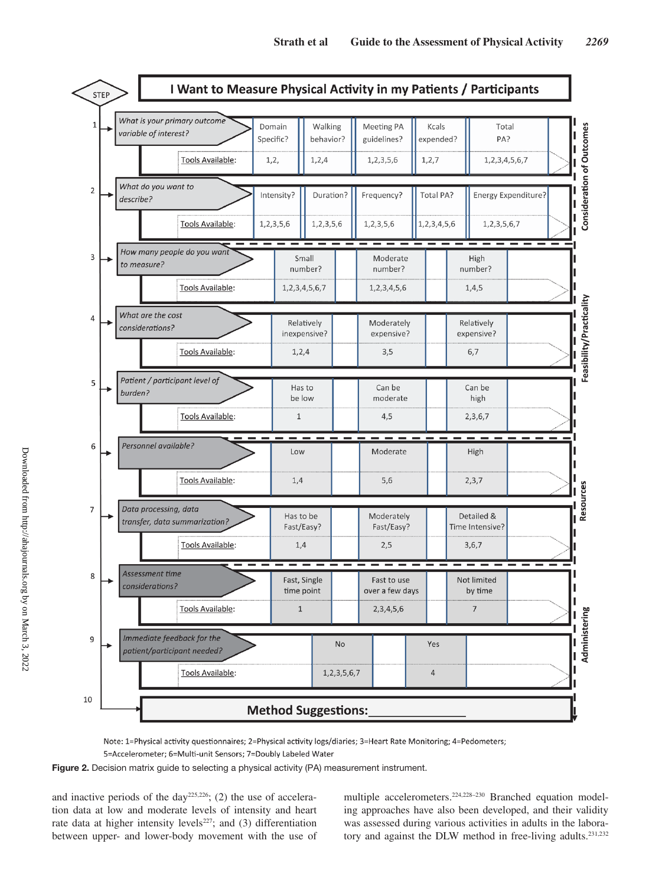

Note: 1=Physical activity questionnaires; 2=Physical activity logs/diaries; 3=Heart Rate Monitoring; 4=Pedometers;

5=Accelerometer; 6=Multi-unit Sensors; 7=Doubly Labeled Water

**Figure 2.** Decision matrix guide to selecting a physical activity (PA) measurement instrument.

and inactive periods of the day<sup>225,226</sup>; (2) the use of acceleration data at low and moderate levels of intensity and heart rate data at higher intensity levels<sup>227</sup>; and (3) differentiation between upper- and lower-body movement with the use of multiple accelerometers.224,228–230 Branched equation modeling approaches have also been developed, and their validity was assessed during various activities in adults in the laboratory and against the DLW method in free-living adults.231,232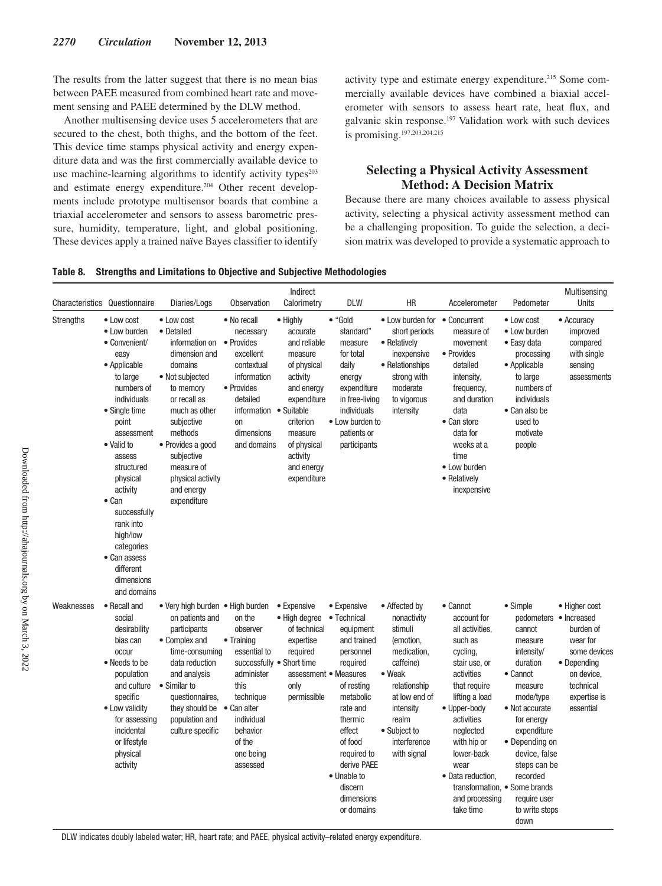The results from the latter suggest that there is no mean bias between PAEE measured from combined heart rate and movement sensing and PAEE determined by the DLW method.

Another multisensing device uses 5 accelerometers that are secured to the chest, both thighs, and the bottom of the feet. This device time stamps physical activity and energy expenditure data and was the first commercially available device to use machine-learning algorithms to identify activity types<sup>203</sup> and estimate energy expenditure.<sup>204</sup> Other recent developments include prototype multisensor boards that combine a triaxial accelerometer and sensors to assess barometric pressure, humidity, temperature, light, and global positioning. These devices apply a trained naïve Bayes classifier to identify

activity type and estimate energy expenditure.<sup>215</sup> Some commercially available devices have combined a biaxial accelerometer with sensors to assess heart rate, heat flux, and galvanic skin response.197 Validation work with such devices is promising.197,203,204,215

# **Selecting a Physical Activity Assessment Method: A Decision Matrix**

Because there are many choices available to assess physical activity, selecting a physical activity assessment method can be a challenging proposition. To guide the selection, a decision matrix was developed to provide a systematic approach to

| Table 8. |  |  | <b>Strengths and Limitations to Objective and Subjective Methodologies</b> |
|----------|--|--|----------------------------------------------------------------------------|
|----------|--|--|----------------------------------------------------------------------------|

| Characteristics  | Questionnaire                                                                                                                                                                                                                                                                                                                                        | Diaries/Logs                                                                                                                                                                                                                                                                   | <b>Observation</b>                                                                                                                                                                           | Indirect<br>Calorimetry                                                                                                                                                                 | <b>DLW</b>                                                                                                                                                                                                                                                          | HR                                                                                                                                                                                               | Accelerometer                                                                                                                                                                                                                                                                                           | Pedometer                                                                                                                                                                                                                                                                     | Multisensing<br>Units                                                                                                         |
|------------------|------------------------------------------------------------------------------------------------------------------------------------------------------------------------------------------------------------------------------------------------------------------------------------------------------------------------------------------------------|--------------------------------------------------------------------------------------------------------------------------------------------------------------------------------------------------------------------------------------------------------------------------------|----------------------------------------------------------------------------------------------------------------------------------------------------------------------------------------------|-----------------------------------------------------------------------------------------------------------------------------------------------------------------------------------------|---------------------------------------------------------------------------------------------------------------------------------------------------------------------------------------------------------------------------------------------------------------------|--------------------------------------------------------------------------------------------------------------------------------------------------------------------------------------------------|---------------------------------------------------------------------------------------------------------------------------------------------------------------------------------------------------------------------------------------------------------------------------------------------------------|-------------------------------------------------------------------------------------------------------------------------------------------------------------------------------------------------------------------------------------------------------------------------------|-------------------------------------------------------------------------------------------------------------------------------|
| <b>Strengths</b> | • Low cost<br>• Low burden<br>• Convenient/<br>easy<br>• Applicable<br>to large<br>numbers of<br>individuals<br>• Single time<br>point<br>assessment<br>• Valid to<br>assess<br>structured<br>physical<br>activity<br>$\bullet$ Can<br>successfully<br>rank into<br>high/low<br>categories<br>• Can assess<br>different<br>dimensions<br>and domains | • Low cost<br>• Detailed<br>information on • Provides<br>dimension and<br>domains<br>• Not subjected<br>to memory<br>or recall as<br>much as other<br>subjective<br>methods<br>• Provides a good<br>subjective<br>measure of<br>physical activity<br>and energy<br>expenditure | • No recall<br>necessary<br>excellent<br>contextual<br>information<br>• Provides<br>detailed<br>information • Suitable<br>on<br>dimensions<br>and domains                                    | · Highly<br>accurate<br>and reliable<br>measure<br>of physical<br>activity<br>and energy<br>expenditure<br>criterion<br>measure<br>of physical<br>activity<br>and energy<br>expenditure | · "Gold<br>standard"<br>measure<br>for total<br>daily<br>energy<br>expenditure<br>in free-living<br>individuals<br>• Low burden to<br>patients or<br>participants                                                                                                   | • Low burden for • Concurrent<br>short periods<br>• Relatively<br>inexpensive<br>• Relationships<br>strong with<br>moderate<br>to vigorous<br>intensity                                          | measure of<br>movement<br>• Provides<br>detailed<br>intensity,<br>frequency,<br>and duration<br>data<br>• Can store<br>data for<br>weeks at a<br>time<br>• Low burden<br>• Relatively<br>inexpensive                                                                                                    | • Low cost<br>• Low burden<br>• Easy data<br>processing<br>• Applicable<br>to large<br>numbers of<br>individuals<br>• Can also be<br>used to<br>motivate<br>people                                                                                                            | • Accuracy<br>improved<br>compared<br>with single<br>sensing<br>assessments                                                   |
| Weaknesses       | • Recall and<br>social<br>desirability<br>bias can<br>occur<br>• Needs to be<br>population<br>and culture<br>specific<br>• Low validity<br>for assessing<br>incidental<br>or lifestyle<br>physical<br>activity                                                                                                                                       | • Very high burden • High burden<br>on patients and<br>participants<br>• Complex and<br>time-consuming<br>data reduction<br>and analysis<br>• Similar to<br>questionnaires,<br>they should be<br>population and<br>culture specific                                            | on the<br>observer<br>• Training<br>essential to<br>successfully . Short time<br>administer<br>this<br>technique<br>• Can alter<br>individual<br>behavior<br>of the<br>one being<br>assessed | • Expensive<br>• High degree<br>of technical<br>expertise<br>required<br>only<br>permissible                                                                                            | • Expensive<br>• Technical<br>equipment<br>and trained<br>personnel<br>required<br>assessment • Measures<br>of resting<br>metabolic<br>rate and<br>thermic<br>effect<br>of food<br>required to<br>derive PAEE<br>• Unable to<br>discern<br>dimensions<br>or domains | • Affected by<br>nonactivity<br>stimuli<br>(emotion,<br>medication,<br>caffeine)<br>• Weak<br>relationship<br>at low end of<br>intensity<br>realm<br>• Subject to<br>interference<br>with signal | • Cannot<br>account for<br>all activities.<br>such as<br>cycling,<br>stair use, or<br>activities<br>that require<br>lifting a load<br>• Upper-body<br>activities<br>neglected<br>with hip or<br>lower-back<br>wear<br>• Data reduction,<br>transformation. • Some brands<br>and processing<br>take time | • Simple<br>pedometers . Increased<br>cannot<br>measure<br>intensity/<br>duration<br>• Cannot<br>measure<br>mode/type<br>• Not accurate<br>for energy<br>expenditure<br>• Depending on<br>device, false<br>steps can be<br>recorded<br>require user<br>to write steps<br>down | • Higher cost<br>burden of<br>wear for<br>some devices<br>• Depending<br>on device.<br>technical<br>expertise is<br>essential |

DLW indicates doubly labeled water; HR, heart rate; and PAEE, physical activity–related energy expenditure.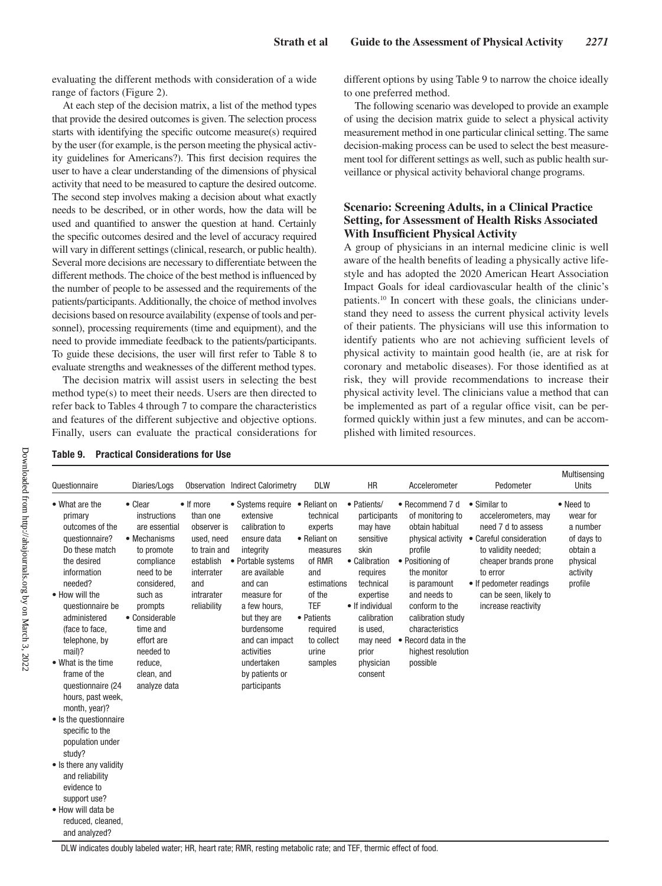evaluating the different methods with consideration of a wide range of factors (Figure 2).

At each step of the decision matrix, a list of the method types that provide the desired outcomes is given. The selection process starts with identifying the specific outcome measure(s) required by the user (for example, is the person meeting the physical activity guidelines for Americans?). This first decision requires the user to have a clear understanding of the dimensions of physical activity that need to be measured to capture the desired outcome. The second step involves making a decision about what exactly needs to be described, or in other words, how the data will be used and quantified to answer the question at hand. Certainly the specific outcomes desired and the level of accuracy required will vary in different settings (clinical, research, or public health). Several more decisions are necessary to differentiate between the different methods. The choice of the best method is influenced by the number of people to be assessed and the requirements of the patients/participants. Additionally, the choice of method involves decisions based on resource availability (expense of tools and personnel), processing requirements (time and equipment), and the need to provide immediate feedback to the patients/participants. To guide these decisions, the user will first refer to Table 8 to evaluate strengths and weaknesses of the different method types.

The decision matrix will assist users in selecting the best method type(s) to meet their needs. Users are then directed to refer back to Tables 4 through 7 to compare the characteristics and features of the different subjective and objective options. Finally, users can evaluate the practical considerations for

**Table 9. Practical Considerations for Use**

different options by using Table 9 to narrow the choice ideally to one preferred method.

The following scenario was developed to provide an example of using the decision matrix guide to select a physical activity measurement method in one particular clinical setting. The same decision-making process can be used to select the best measurement tool for different settings as well, such as public health surveillance or physical activity behavioral change programs.

# **Scenario: Screening Adults, in a Clinical Practice Setting, for Assessment of Health Risks Associated With Insufficient Physical Activity**

A group of physicians in an internal medicine clinic is well aware of the health benefits of leading a physically active lifestyle and has adopted the 2020 American Heart Association Impact Goals for ideal cardiovascular health of the clinic's patients.<sup>10</sup> In concert with these goals, the clinicians understand they need to assess the current physical activity levels of their patients. The physicians will use this information to identify patients who are not achieving sufficient levels of physical activity to maintain good health (ie, are at risk for coronary and metabolic diseases). For those identified as at risk, they will provide recommendations to increase their physical activity level. The clinicians value a method that can be implemented as part of a regular office visit, can be performed quickly within just a few minutes, and can be accomplished with limited resources.

| Questionnaire                                                                                                                                                                                                                                                                                                                                                                                                                                                                                                                    | Diaries/Logs                                                                                                                                                                                                                                      |                                                                                                                                           | <b>Observation Indirect Calorimetry</b>                                                                                                                                                                                                                                                  | <b>DLW</b>                                                                                                                                                           | <b>HR</b>                                                                                                                                                                                          | Accelerometer                                                                                                                                                                                                                                                                          | Pedometer                                                                                                                                                                                                                   | Multisensing<br>Units                                                                          |
|----------------------------------------------------------------------------------------------------------------------------------------------------------------------------------------------------------------------------------------------------------------------------------------------------------------------------------------------------------------------------------------------------------------------------------------------------------------------------------------------------------------------------------|---------------------------------------------------------------------------------------------------------------------------------------------------------------------------------------------------------------------------------------------------|-------------------------------------------------------------------------------------------------------------------------------------------|------------------------------------------------------------------------------------------------------------------------------------------------------------------------------------------------------------------------------------------------------------------------------------------|----------------------------------------------------------------------------------------------------------------------------------------------------------------------|----------------------------------------------------------------------------------------------------------------------------------------------------------------------------------------------------|----------------------------------------------------------------------------------------------------------------------------------------------------------------------------------------------------------------------------------------------------------------------------------------|-----------------------------------------------------------------------------------------------------------------------------------------------------------------------------------------------------------------------------|------------------------------------------------------------------------------------------------|
| • What are the<br>primary<br>outcomes of the<br>questionnaire?<br>Do these match<br>the desired<br>information<br>needed?<br>. How will the<br>questionnaire be<br>administered<br>(face to face,<br>telephone, by<br>mail)?<br>• What is the time<br>frame of the<br>questionnaire (24<br>hours, past week,<br>month, year)?<br>• Is the questionnaire<br>specific to the<br>population under<br>study?<br>• Is there any validity<br>and reliability<br>evidence to<br>support use?<br>• How will data be<br>reduced, cleaned, | $\bullet$ Clear<br>instructions<br>are essential<br>• Mechanisms<br>to promote<br>compliance<br>need to be<br>considered,<br>such as<br>prompts<br>• Considerable<br>time and<br>effort are<br>needed to<br>reduce,<br>clean, and<br>analyze data | $\bullet$ If more<br>than one<br>observer is<br>used, need<br>to train and<br>establish<br>interrater<br>and<br>intrarater<br>reliability | • Systems require • Reliant on<br>extensive<br>calibration to<br>ensure data<br>integrity<br>• Portable systems<br>are available<br>and can<br>measure for<br>a few hours,<br>but they are<br>burdensome<br>and can impact<br>activities<br>undertaken<br>by patients or<br>participants | technical<br>experts<br>• Reliant on<br>measures<br>of RMR<br>and<br>estimations<br>of the<br><b>TEF</b><br>• Patients<br>required<br>to collect<br>urine<br>samples | • Patients/<br>participants<br>may have<br>sensitive<br>skin<br>• Calibration<br>requires<br>technical<br>expertise<br>• If individual<br>calibration<br>is used,<br>prior<br>physician<br>consent | • Recommend 7 d<br>of monitoring to<br>obtain habitual<br>physical activity<br>profile<br>• Positioning of<br>the monitor<br>is paramount<br>and needs to<br>conform to the<br>calibration study<br>characteristics<br>may need • Record data in the<br>highest resolution<br>possible | • Similar to<br>accelerometers, may<br>need 7 d to assess<br>• Careful consideration<br>to validity needed;<br>cheaper brands prone<br>to error<br>• If pedometer readings<br>can be seen, likely to<br>increase reactivity | • Need to<br>wear for<br>a number<br>of days to<br>obtain a<br>physical<br>activity<br>profile |
| and analyzed?                                                                                                                                                                                                                                                                                                                                                                                                                                                                                                                    |                                                                                                                                                                                                                                                   |                                                                                                                                           |                                                                                                                                                                                                                                                                                          |                                                                                                                                                                      |                                                                                                                                                                                                    |                                                                                                                                                                                                                                                                                        |                                                                                                                                                                                                                             |                                                                                                |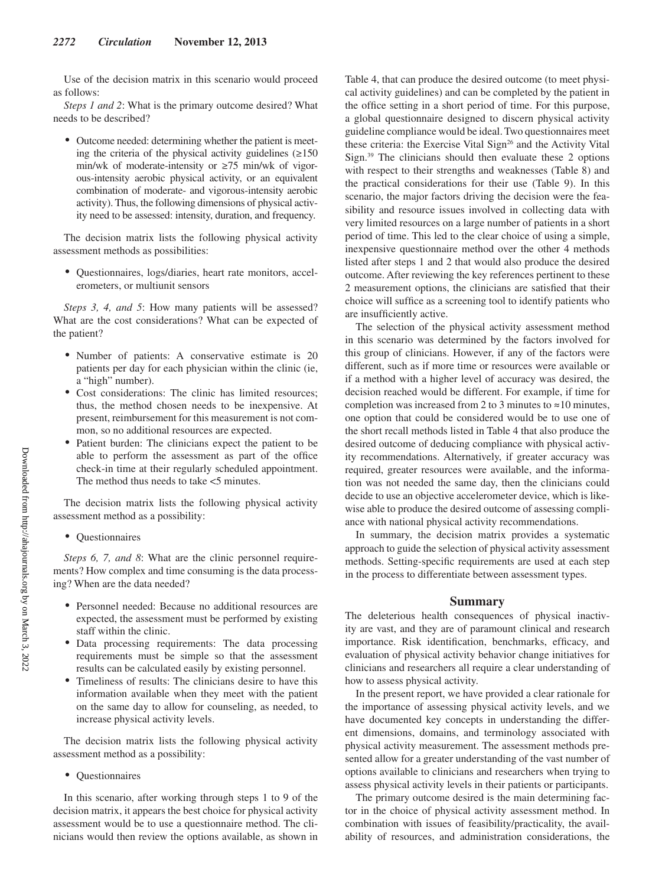Use of the decision matrix in this scenario would proceed as follows:

*Steps 1 and 2*: What is the primary outcome desired? What needs to be described?

• Outcome needed: determining whether the patient is meeting the criteria of the physical activity guidelines  $(≥150$ min/wk of moderate-intensity or ≥75 min/wk of vigorous-intensity aerobic physical activity, or an equivalent combination of moderate- and vigorous-intensity aerobic activity). Thus, the following dimensions of physical activity need to be assessed: intensity, duration, and frequency.

The decision matrix lists the following physical activity assessment methods as possibilities:

• Questionnaires, logs/diaries, heart rate monitors, accelerometers, or multiunit sensors

*Steps 3, 4, and 5*: How many patients will be assessed? What are the cost considerations? What can be expected of the patient?

- Number of patients: A conservative estimate is 20 patients per day for each physician within the clinic (ie, a "high" number).
- Cost considerations: The clinic has limited resources; thus, the method chosen needs to be inexpensive. At present, reimbursement for this measurement is not common, so no additional resources are expected.
- Patient burden: The clinicians expect the patient to be able to perform the assessment as part of the office check-in time at their regularly scheduled appointment. The method thus needs to take <5 minutes.

The decision matrix lists the following physical activity assessment method as a possibility:

• Questionnaires

*Steps 6, 7, and 8*: What are the clinic personnel requirements? How complex and time consuming is the data processing? When are the data needed?

- Personnel needed: Because no additional resources are expected, the assessment must be performed by existing staff within the clinic.
- Data processing requirements: The data processing requirements must be simple so that the assessment results can be calculated easily by existing personnel.
- Timeliness of results: The clinicians desire to have this information available when they meet with the patient on the same day to allow for counseling, as needed, to increase physical activity levels.

The decision matrix lists the following physical activity assessment method as a possibility:

• Questionnaires

In this scenario, after working through steps 1 to 9 of the decision matrix, it appears the best choice for physical activity assessment would be to use a questionnaire method. The clinicians would then review the options available, as shown in

Table 4, that can produce the desired outcome (to meet physical activity guidelines) and can be completed by the patient in the office setting in a short period of time. For this purpose, a global questionnaire designed to discern physical activity guideline compliance would be ideal. Two questionnaires meet these criteria: the Exercise Vital Sign<sup>26</sup> and the Activity Vital Sign.39 The clinicians should then evaluate these 2 options with respect to their strengths and weaknesses (Table 8) and the practical considerations for their use (Table 9). In this scenario, the major factors driving the decision were the feasibility and resource issues involved in collecting data with very limited resources on a large number of patients in a short period of time. This led to the clear choice of using a simple, inexpensive questionnaire method over the other 4 methods listed after steps 1 and 2 that would also produce the desired outcome. After reviewing the key references pertinent to these 2 measurement options, the clinicians are satisfied that their choice will suffice as a screening tool to identify patients who are insufficiently active.

The selection of the physical activity assessment method in this scenario was determined by the factors involved for this group of clinicians. However, if any of the factors were different, such as if more time or resources were available or if a method with a higher level of accuracy was desired, the decision reached would be different. For example, if time for completion was increased from 2 to 3 minutes to  $\approx$ 10 minutes, one option that could be considered would be to use one of the short recall methods listed in Table 4 that also produce the desired outcome of deducing compliance with physical activity recommendations. Alternatively, if greater accuracy was required, greater resources were available, and the information was not needed the same day, then the clinicians could decide to use an objective accelerometer device, which is likewise able to produce the desired outcome of assessing compliance with national physical activity recommendations.

In summary, the decision matrix provides a systematic approach to guide the selection of physical activity assessment methods. Setting-specific requirements are used at each step in the process to differentiate between assessment types.

### **Summary**

The deleterious health consequences of physical inactivity are vast, and they are of paramount clinical and research importance. Risk identification, benchmarks, efficacy, and evaluation of physical activity behavior change initiatives for clinicians and researchers all require a clear understanding of how to assess physical activity.

In the present report, we have provided a clear rationale for the importance of assessing physical activity levels, and we have documented key concepts in understanding the different dimensions, domains, and terminology associated with physical activity measurement. The assessment methods presented allow for a greater understanding of the vast number of options available to clinicians and researchers when trying to assess physical activity levels in their patients or participants.

The primary outcome desired is the main determining factor in the choice of physical activity assessment method. In combination with issues of feasibility/practicality, the availability of resources, and administration considerations, the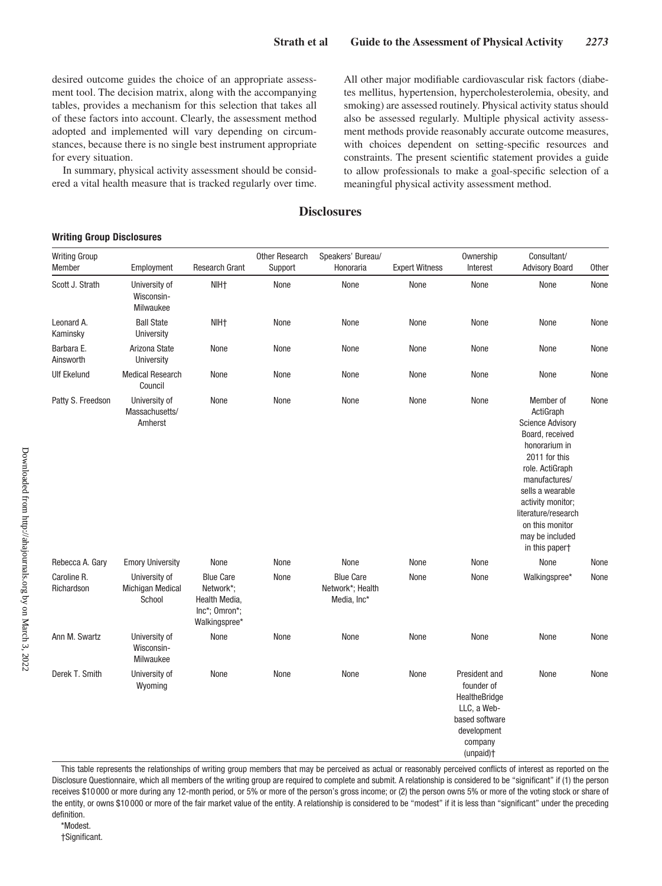desired outcome guides the choice of an appropriate assessment tool. The decision matrix, along with the accompanying tables, provides a mechanism for this selection that takes all of these factors into account. Clearly, the assessment method adopted and implemented will vary depending on circumstances, because there is no single best instrument appropriate for every situation.

In summary, physical activity assessment should be considered a vital health measure that is tracked regularly over time. All other major modifiable cardiovascular risk factors (diabetes mellitus, hypertension, hypercholesterolemia, obesity, and smoking) are assessed routinely. Physical activity status should also be assessed regularly. Multiple physical activity assessment methods provide reasonably accurate outcome measures, with choices dependent on setting-specific resources and constraints. The present scientific statement provides a guide to allow professionals to make a goal-specific selection of a meaningful physical activity assessment method.

# **Disclosures**

|                                | <b>Writing Group Disclosures</b>                   |                                                                                  |                                  |                                                     |                       |                                                                                                                         |                                                                                                                                                                                                                                                                    |              |  |  |
|--------------------------------|----------------------------------------------------|----------------------------------------------------------------------------------|----------------------------------|-----------------------------------------------------|-----------------------|-------------------------------------------------------------------------------------------------------------------------|--------------------------------------------------------------------------------------------------------------------------------------------------------------------------------------------------------------------------------------------------------------------|--------------|--|--|
| <b>Writing Group</b><br>Member | Employment                                         | <b>Research Grant</b>                                                            | <b>Other Research</b><br>Support | Speakers' Bureau/<br>Honoraria                      | <b>Expert Witness</b> | Ownership<br>Interest                                                                                                   | Consultant/<br><b>Advisory Board</b>                                                                                                                                                                                                                               | <b>Other</b> |  |  |
| Scott J. Strath                | University of<br>Wisconsin-<br>Milwaukee           | NIH <sub>†</sub>                                                                 | None                             | None                                                | None                  | None                                                                                                                    | None                                                                                                                                                                                                                                                               | None         |  |  |
| Leonard A.<br>Kaminsky         | <b>Ball State</b><br>University                    | NIH <sub>†</sub>                                                                 | None                             | None                                                | None                  | None                                                                                                                    | None                                                                                                                                                                                                                                                               | None         |  |  |
| Barbara E.<br>Ainsworth        | Arizona State<br>University                        | None                                                                             | None                             | None                                                | None                  | None                                                                                                                    | None                                                                                                                                                                                                                                                               | None         |  |  |
| <b>Ulf Ekelund</b>             | <b>Medical Research</b><br>Council                 | None                                                                             | None                             | None                                                | None                  | None                                                                                                                    | None                                                                                                                                                                                                                                                               | None         |  |  |
| Patty S. Freedson              | University of<br>Massachusetts/<br>Amherst         | None                                                                             | None                             | None                                                | None                  | None                                                                                                                    | Member of<br>ActiGraph<br><b>Science Advisory</b><br>Board, received<br>honorarium in<br>2011 for this<br>role. ActiGraph<br>manufactures/<br>sells a wearable<br>activity monitor:<br>literature/research<br>on this monitor<br>may be included<br>in this paper† | None         |  |  |
| Rebecca A. Gary                | <b>Emory University</b>                            | None                                                                             | None                             | None                                                | None                  | None                                                                                                                    | None                                                                                                                                                                                                                                                               | None         |  |  |
| Caroline R.<br>Richardson      | University of<br><b>Michigan Medical</b><br>School | <b>Blue Care</b><br>Network*;<br>Health Media,<br>Inc*; Omron*;<br>Walkingspree* | None                             | <b>Blue Care</b><br>Network*; Health<br>Media, Inc* | None                  | None                                                                                                                    | Walkingspree*                                                                                                                                                                                                                                                      | None         |  |  |
| Ann M. Swartz                  | University of<br>Wisconsin-<br>Milwaukee           | None                                                                             | None                             | None                                                | None                  | None                                                                                                                    | None                                                                                                                                                                                                                                                               | None         |  |  |
| Derek T. Smith                 | University of<br>Wyoming                           | None                                                                             | None                             | None                                                | None                  | President and<br>founder of<br>HealtheBridge<br>LLC, a Web-<br>based software<br>development<br>company<br>$(unpaid)$ † | None                                                                                                                                                                                                                                                               | None         |  |  |

This table represents the relationships of writing group members that may be perceived as actual or reasonably perceived conflicts of interest as reported on the Disclosure Questionnaire, which all members of the writing group are required to complete and submit. A relationship is considered to be "significant" if (1) the person receives \$10 000 or more during any 12-month period, or 5% or more of the person's gross income; or (2) the person owns 5% or more of the voting stock or share of the entity, or owns \$10 000 or more of the fair market value of the entity. A relationship is considered to be "modest" if it is less than "significant" under the preceding definition.

```
*Modest.
```
†Significant.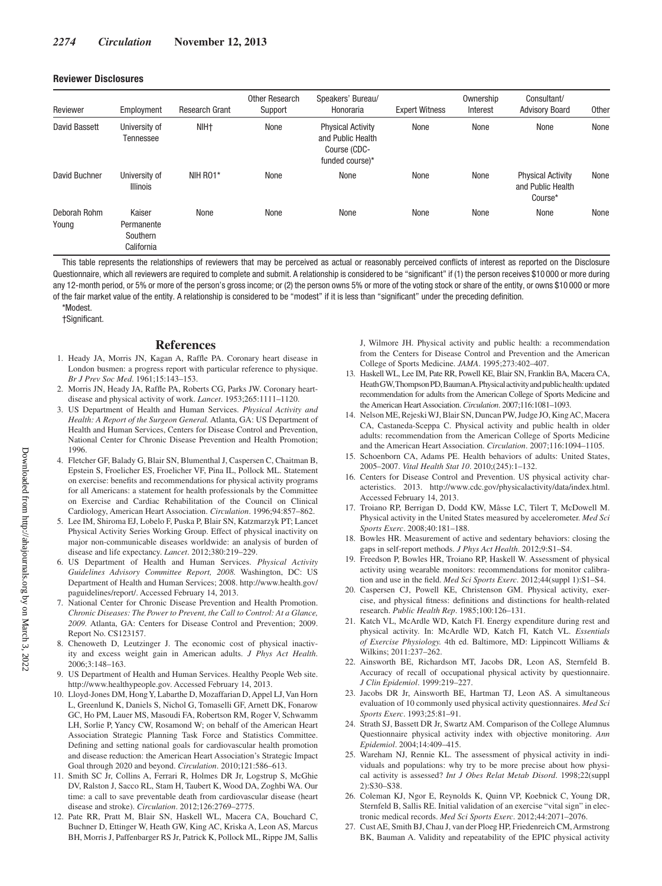# **Reviewer Disclosures**

| Reviewer              | Employment                                     | <b>Research Grant</b> | Other Research<br>Support | Speakers' Bureau/<br>Honoraria                                                   | <b>Expert Witness</b> | Ownership<br>Interest | Consultant/<br><b>Advisory Board</b>                     | <b>Other</b> |
|-----------------------|------------------------------------------------|-----------------------|---------------------------|----------------------------------------------------------------------------------|-----------------------|-----------------------|----------------------------------------------------------|--------------|
| David Bassett         | University of<br>Tennessee                     | NIH <sub>t</sub>      | None                      | <b>Physical Activity</b><br>and Public Health<br>Course (CDC-<br>funded course)* | None                  | None                  | None                                                     | None         |
| David Buchner         | University of<br><b>Illinois</b>               | NIH RO1*              | None                      | None                                                                             | None                  | None                  | <b>Physical Activity</b><br>and Public Health<br>Course* | None         |
| Deborah Rohm<br>Young | Kaiser<br>Permanente<br>Southern<br>California | None                  | None                      | None                                                                             | None                  | None                  | None                                                     | None         |

This table represents the relationships of reviewers that may be perceived as actual or reasonably perceived conflicts of interest as reported on the Disclosure Questionnaire, which all reviewers are required to complete and submit. A relationship is considered to be "significant" if (1) the person receives \$10000 or more during any 12-month period, or 5% or more of the person's gross income; or (2) the person owns 5% or more of the voting stock or share of the entity, or owns \$10 000 or more of the fair market value of the entity. A relationship is considered to be "modest" if it is less than "significant" under the preceding definition.

\*Modest.

†Significant.

# **References**

- 1. Heady JA, Morris JN, Kagan A, Raffle PA. Coronary heart disease in London busmen: a progress report with particular reference to physique. *Br J Prev Soc Med*. 1961;15:143–153.
- 2. Morris JN, Heady JA, Raffle PA, Roberts CG, Parks JW. Coronary heartdisease and physical activity of work. *Lancet*. 1953;265:1111–1120.
- 3. US Department of Health and Human Services. *Physical Activity and Health: A Report of the Surgeon General.* Atlanta, GA: US Department of Health and Human Services, Centers for Disease Control and Prevention, National Center for Chronic Disease Prevention and Health Promotion; 1996.
- 4. Fletcher GF, Balady G, Blair SN, Blumenthal J, Caspersen C, Chaitman B, Epstein S, Froelicher ES, Froelicher VF, Pina IL, Pollock ML. Statement on exercise: benefits and recommendations for physical activity programs for all Americans: a statement for health professionals by the Committee on Exercise and Cardiac Rehabilitation of the Council on Clinical Cardiology, American Heart Association. *Circulation*. 1996;94:857–862.
- 5. Lee IM, Shiroma EJ, Lobelo F, Puska P, Blair SN, Katzmarzyk PT; Lancet Physical Activity Series Working Group. Effect of physical inactivity on major non-communicable diseases worldwide: an analysis of burden of disease and life expectancy. *Lancet*. 2012;380:219–229.
- 6. US Department of Health and Human Services. *Physical Activity Guidelines Advisory Committee Report, 2008.* Washington, DC: US Department of Health and Human Services; 2008. [http://www.health.gov/](http://www.health.gov/paguidelines/report/) [paguidelines/report/](http://www.health.gov/paguidelines/report/). Accessed February 14, 2013.
- 7. National Center for Chronic Disease Prevention and Health Promotion. *Chronic Diseases: The Power to Prevent, the Call to Control: At a Glance, 2009.* Atlanta, GA: Centers for Disease Control and Prevention; 2009. Report No. CS123157.
- Chenoweth D, Leutzinger J. The economic cost of physical inactivity and excess weight gain in American adults. *J Phys Act Health*. 2006;3:148–163.
- 9. US Department of Health and Human Services. Healthy People Web site. <http://www.healthypeople.gov>. Accessed February 14, 2013.
- 10. Lloyd-Jones DM, Hong Y, Labarthe D, Mozaffarian D, Appel LJ, Van Horn L, Greenlund K, Daniels S, Nichol G, Tomaselli GF, Arnett DK, Fonarow GC, Ho PM, Lauer MS, Masoudi FA, Robertson RM, Roger V, Schwamm LH, Sorlie P, Yancy CW, Rosamond W; on behalf of the American Heart Association Strategic Planning Task Force and Statistics Committee. Defining and setting national goals for cardiovascular health promotion and disease reduction: the American Heart Association's Strategic Impact Goal through 2020 and beyond. *Circulation*. 2010;121:586–613.
- 11. Smith SC Jr, Collins A, Ferrari R, Holmes DR Jr, Logstrup S, McGhie DV, Ralston J, Sacco RL, Stam H, Taubert K, Wood DA, Zoghbi WA. Our time: a call to save preventable death from cardiovascular disease (heart disease and stroke). *Circulation*. 2012;126:2769–2775.
- 12. Pate RR, Pratt M, Blair SN, Haskell WL, Macera CA, Bouchard C, Buchner D, Ettinger W, Heath GW, King AC, Kriska A, Leon AS, Marcus BH, Morris J, Paffenbarger RS Jr, Patrick K, Pollock ML, Rippe JM, Sallis

J, Wilmore JH. Physical activity and public health: a recommendation from the Centers for Disease Control and Prevention and the American College of Sports Medicine. *JAMA*. 1995;273:402–407.

- 13. Haskell WL, Lee IM, Pate RR, Powell KE, Blair SN, Franklin BA, Macera CA, Heath GW, Thompson PD, Bauman A. Physical activity and public health: updated recommendation for adults from the American College of Sports Medicine and the American Heart Association. *Circulation*. 2007;116:1081–1093.
- 14. Nelson ME, Rejeski WJ, Blair SN, Duncan PW, Judge JO, King AC, Macera CA, Castaneda-Sceppa C. Physical activity and public health in older adults: recommendation from the American College of Sports Medicine and the American Heart Association. *Circulation*. 2007;116:1094–1105.
- 15. Schoenborn CA, Adams PE. Health behaviors of adults: United States, 2005–2007. *Vital Health Stat 10*. 2010;(245):1–132.
- 16. Centers for Disease Control and Prevention. US physical activity characteristics. 2013. http://www.cdc.gov/physicalactivity/data/index.html. Accessed February 14, 2013.
- 17. Troiano RP, Berrigan D, Dodd KW, Mâsse LC, Tilert T, McDowell M. Physical activity in the United States measured by accelerometer. *Med Sci Sports Exerc*. 2008;40:181–188.
- 18. Bowles HR. Measurement of active and sedentary behaviors: closing the gaps in self-report methods. *J Phys Act Health*. 2012;9:S1–S4.
- 19. Freedson P, Bowles HR, Troiano RP, Haskell W. Assessment of physical activity using wearable monitors: recommendations for monitor calibration and use in the field. *Med Sci Sports Exerc*. 2012;44(suppl 1):S1–S4.
- 20. Caspersen CJ, Powell KE, Christenson GM. Physical activity, exercise, and physical fitness: definitions and distinctions for health-related research. *Public Health Rep*. 1985;100:126–131.
- 21. Katch VL, McArdle WD, Katch FI. Energy expenditure during rest and physical activity. In: McArdle WD, Katch FI, Katch VL. *Essentials of Exercise Physiology.* 4th ed. Baltimore, MD: Lippincott Williams & Wilkins; 2011:237–262.
- 22. Ainsworth BE, Richardson MT, Jacobs DR, Leon AS, Sternfeld B. Accuracy of recall of occupational physical activity by questionnaire. *J Clin Epidemiol*. 1999:219–227.
- 23. Jacobs DR Jr, Ainsworth BE, Hartman TJ, Leon AS. A simultaneous evaluation of 10 commonly used physical activity questionnaires. *Med Sci Sports Exerc*. 1993;25:81–91.
- 24. Strath SJ, Bassett DR Jr, Swartz AM. Comparison of the College Alumnus Questionnaire physical activity index with objective monitoring. *Ann Epidemiol*. 2004;14:409–415.
- 25. Wareham NJ, Rennie KL. The assessment of physical activity in individuals and populations: why try to be more precise about how physical activity is assessed? *Int J Obes Relat Metab Disord*. 1998;22(suppl 2):S30–S38.
- 26. Coleman KJ, Ngor E, Reynolds K, Quinn VP, Koebnick C, Young DR, Sternfeld B, Sallis RE. Initial validation of an exercise "vital sign" in electronic medical records. *Med Sci Sports Exerc*. 2012;44:2071–2076.
- 27. Cust AE, Smith BJ, Chau J, van der Ploeg HP, Friedenreich CM, Armstrong BK, Bauman A. Validity and repeatability of the EPIC physical activity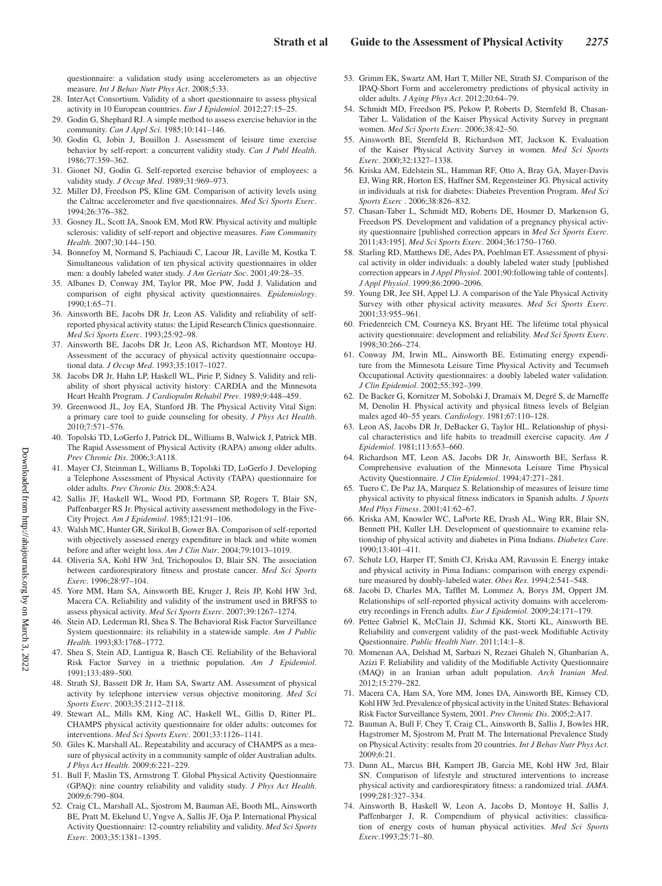questionnaire: a validation study using accelerometers as an objective measure. *Int J Behav Nutr Phys Act*. 2008;5:33.

- 28. InterAct Consortium. Validity of a short questionnaire to assess physical activity in 10 European countries. *Eur J Epidemiol*. 2012;27:15–25.
- 29. Godin G, Shephard RJ. A simple method to assess exercise behavior in the community. *Can J Appl Sci*. 1985;10:141–146.
- 30. Godin G, Jobin J, Bouillon J. Assessment of leisure time exercise behavior by self-report: a concurrent validity study. *Can J Publ Health*. 1986;77:359–362.
- 31. Gionet NJ, Godin G. Self-reported exercise behavior of employees: a validity study. *J Occup Med*. 1989;31:969–973.
- 32. Miller DJ, Freedson PS, Kline GM. Comparison of activity levels using the Caltrac accelerometer and five questionnaires. *Med Sci Sports Exerc*. 1994;26:376–382.
- 33. Gosney JL, Scott JA, Snook EM, Motl RW. Physical activity and multiple sclerosis: validity of self-report and objective measures. *Fam Community Health*. 2007;30:144–150.
- 34. Bonnefoy M, Normand S, Pachiaudi C, Lacour JR, Laville M, Kostka T. Simultaneous validation of ten physical activity questionnaires in older men: a doubly labeled water study. *J Am Geriatr Soc*. 2001;49:28–35.
- 35. Albanes D, Conway JM, Taylor PR, Moe PW, Judd J. Validation and comparison of eight physical activity questionnaires. *Epidemiology*. 1990;1:65–71.
- 36. Ainsworth BE, Jacobs DR Jr, Leon AS. Validity and reliability of selfreported physical activity status: the Lipid Research Clinics questionnaire. *Med Sci Sports Exerc*. 1993;25:92–98.
- 37. Ainsworth BE, Jacobs DR Jr, Leon AS, Richardson MT, Montoye HJ. Assessment of the accuracy of physical activity questionnaire occupational data. *J Occup Med*. 1993;35:1017–1027.
- 38. Jacobs DR Jr, Hahn LP, Haskell WL, Pirie P, Sidney S. Validity and reliability of short physical activity history: CARDIA and the Minnesota Heart Health Program. *J Cardiopulm Rehabil Prev*. 1989;9:448–459.
- 39. Greenwood JL, Joy EA, Stanford JB. The Physical Activity Vital Sign: a primary care tool to guide counseling for obesity. *J Phys Act Health*. 2010;7:571–576.
- 40. Topolski TD, LoGerfo J, Patrick DL, Williams B, Walwick J, Patrick MB. The Rapid Assessment of Physical Activity (RAPA) among older adults. *Prev Chronic Dis*. 2006;3:A118.
- 41. Mayer CJ, Steinman L, Williams B, Topolski TD, LoGerfo J. Developing a Telephone Assessment of Physical Activity (TAPA) questionnaire for older adults. *Prev Chronic Dis.* 2008;5:A24.
- 42. Sallis JF, Haskell WL, Wood PD, Fortmann SP, Rogers T, Blair SN, Paffenbarger RS Jr. Physical activity assessment methodology in the Five-City Project. *Am J Epidemiol*. 1985;121:91–106.
- 43. Walsh MC, Hunter GR, Sirikul B, Gower BA. Comparison of self-reported with objectively assessed energy expenditure in black and white women before and after weight loss. *Am J Clin Nutr*. 2004;79:1013–1019.
- 44. Oliveria SA, Kohl HW 3rd, Trichopoulos D, Blair SN. The association between cardiorespiratory fitness and prostate cancer. *Med Sci Sports Exerc*. 1996;28:97–104.
- 45. Yore MM, Ham SA, Ainsworth BE, Kruger J, Reis JP, Kohl HW 3rd, Macera CA. Reliability and validity of the instrument used in BRFSS to assess physical activity. *Med Sci Sports Exerc*. 2007;39:1267–1274.
- 46. Stein AD, Lederman RI, Shea S. The Behavioral Risk Factor Surveillance System questionnaire: its reliability in a statewide sample. *Am J Public Health*. 1993;83:1768–1772.
- 47. Shea S, Stein AD, Lantigua R, Basch CE. Reliability of the Behavioral Risk Factor Survey in a triethnic population. *Am J Epidemiol*. 1991;133:489–500.
- 48. Strath SJ, Bassett DR Jr, Ham SA, Swartz AM. Assessment of physical activity by telephone interview versus objective monitoring. *Med Sci Sports Exerc*. 2003;35:2112–2118.
- 49. Stewart AL, Mills KM, King AC, Haskell WL, Gillis D, Ritter PL. CHAMPS physical activity questionnaire for older adults: outcomes for interventions. *Med Sci Sports Exerc*. 2001;33:1126–1141.
- 50. Giles K, Marshall AL. Repeatability and accuracy of CHAMPS as a measure of physical activity in a community sample of older Australian adults. *J Phys Act Health*. 2009;6:221–229.
- 51. Bull F, Maslin TS, Armstrong T. Global Physical Activity Questionnaire (GPAQ): nine country reliability and validity study. *J Phys Act Health*. 2009;6:790–804.
- 52. Craig CL, Marshall AL, Sjostrom M, Bauman AE, Booth ML, Ainsworth BE, Pratt M, Ekelund U, Yngve A, Sallis JF, Oja P. International Physical Activity Questionnaire: 12-country reliability and validity. *Med Sci Sports Exerc*. 2003;35:1381–1395.
- 53. Grimm EK, Swartz AM, Hart T, Miller NE, Strath SJ. Comparison of the IPAQ-Short Form and accelerometry predictions of physical activity in older adults. *J Aging Phys Act*. 2012;20:64–79.
- 54. Schmidt MD, Freedson PS, Pekow P, Roberts D, Sternfeld B, Chasan-Taber L. Validation of the Kaiser Physical Activity Survey in pregnant women. *Med Sci Sports Exerc*. 2006;38:42–50.
- 55. Ainsworth BE, Sternfeld B, Richardson MT, Jackson K. Evaluation of the Kaiser Physical Activity Survey in women. *Med Sci Sports Exerc*. 2000;32:1327–1338.
- 56. Kriska AM, Edelstein SL, Hamman RF, Otto A, Bray GA, Mayer-Davis EJ, Wing RR, Horton ES, Haffner SM, Regensteiner JG. Physical activity in individuals at risk for diabetes: Diabetes Prevention Program. *Med Sci Sports Exerc* . 2006;38:826–832.
- 57. Chasan-Taber L, Schmidt MD, Roberts DE, Hosmer D, Markenson G, Freedson PS. Development and validation of a pregnancy physical activity questionnaire [published correction appears in *Med Sci Sports Exerc*. 2011;43:195]. *Med Sci Sports Exerc*. 2004;36:1750–1760.
- 58. Starling RD, Matthews DE, Ades PA, Poehlman ET. Assessment of physical activity in older individuals: a doubly labeled water study [published correction appears in *J Appl Physiol*. 2001;90:following table of contents]. *J Appl Physiol*. 1999;86:2090–2096.
- 59. Young DR, Jee SH, Appel LJ. A comparison of the Yale Physical Activity Survey with other physical activity measures. *Med Sci Sports Exerc*. 2001;33:955–961.
- 60. Friedenreich CM, Courneya KS, Bryant HE. The lifetime total physical activity questionnaire: development and reliability. *Med Sci Sports Exerc*. 1998;30:266–274.
- 61. Conway JM, Irwin ML, Ainsworth BE. Estimating energy expenditure from the Minnesota Leisure Time Physical Activity and Tecumseh Occupational Activity questionnaires: a doubly labeled water validation. *J Clin Epidemiol*. 2002;55:392–399.
- 62. De Backer G, Kornitzer M, Sobolski J, Dramaix M, Degré S, de Marneffe M, Denolin H. Physical activity and physical fitness levels of Belgian males aged 40–55 years. *Cardiology*. 1981;67:110–128.
- 63. Leon AS, Jacobs DR Jr, DeBacker G, Taylor HL. Relationship of physical characteristics and life habits to treadmill exercise capacity. *Am J Epidemiol*. 1981;113:653–660.
- 64. Richardson MT, Leon AS, Jacobs DR Jr, Ainsworth BE, Serfass R. Comprehensive evaluation of the Minnesota Leisure Time Physical Activity Questionnaire. *J Clin Epidemiol*. 1994;47:271–281.
- 65. Tuero C, De Paz JA, Marquez S. Relationship of measures of leisure time physical activity to physical fitness indicators in Spanish adults. *J Sports Med Phys Fitness*. 2001;41:62–67.
- 66. Kriska AM, Knowler WC, LaPorte RE, Drash AL, Wing RR, Blair SN, Bennett PH, Kuller LH. Development of questionnaire to examine relationship of physical activity and diabetes in Pima Indians. *Diabetes Care*. 1990;13:401–411.
- 67. Schulz LO, Harper IT, Smith CJ, Kriska AM, Ravussin E. Energy intake and physical activity in Pima Indians: comparison with energy expenditure measured by doubly-labeled water. *Obes Res*. 1994;2:541–548.
- 68. Jacobi D, Charles MA, Tafflet M, Lommez A, Borys JM, Oppert JM. Relationships of self-reported physical activity domains with accelerometry recordings in French adults. *Eur J Epidemiol*. 2009;24:171–179.
- 69. Pettee Gabriel K, McClain JJ, Schmid KK, Storti KL, Ainsworth BE. Reliability and convergent validity of the past-week Modifiable Activity Questionnaire. *Public Health Nutr*. 2011;14:1–8.
- 70. Momenan AA, Delshad M, Sarbazi N, Rezaei Ghaleh N, Ghanbarian A, Azizi F. Reliability and validity of the Modifiable Activity Questionnaire (MAQ) in an Iranian urban adult population. *Arch Iranian Med*. 2012;15:279–282.
- 71. Macera CA, Ham SA, Yore MM, Jones DA, Ainsworth BE, Kimsey CD, Kohl HW 3rd. Prevalence of physical activity in the United States: Behavioral Risk Factor Surveillance System, 2001. *Prev Chronic Dis*. 2005;2:A17.
- 72. Bauman A, Bull F, Chey T, Craig CL, Ainsworth B, Sallis J, Bowles HR, Hagstromer M, Sjostrom M, Pratt M. The International Prevalence Study on Physical Activity: results from 20 countries. *Int J Behav Nutr Phys Act*. 2009;6:21.
- 73. Dunn AL, Marcus BH, Kampert JB, Garcia ME, Kohl HW 3rd, Blair SN. Comparison of lifestyle and structured interventions to increase physical activity and cardiorespiratory fitness: a randomized trial. *JAMA*. 1999;281:327–334.
- 74. Ainsworth B, Haskell W, Leon A, Jacobs D, Montoye H, Sallis J, Paffenbarger J, R. Compendium of physical activities: classification of energy costs of human physical activities. *Med Sci Sports Exerc*.1993;25:71–80.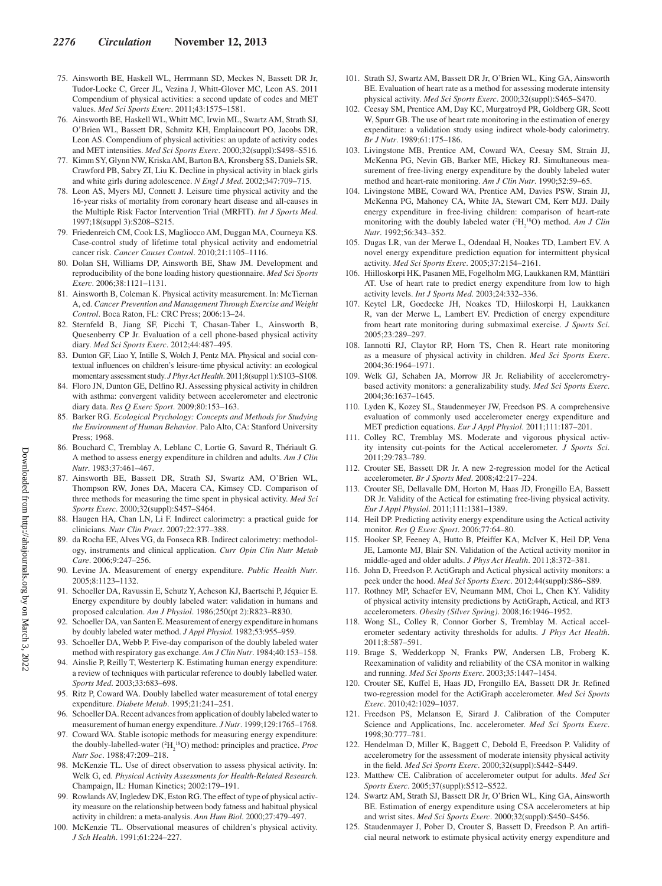- 75. Ainsworth BE, Haskell WL, Herrmann SD, Meckes N, Bassett DR Jr, Tudor-Locke C, Greer JL, Vezina J, Whitt-Glover MC, Leon AS. 2011 Compendium of physical activities: a second update of codes and MET values. *Med Sci Sports Exerc*. 2011;43:1575–1581.
- 76. Ainsworth BE, Haskell WL, Whitt MC, Irwin ML, Swartz AM, Strath SJ, O'Brien WL, Bassett DR, Schmitz KH, Emplaincourt PO, Jacobs DR, Leon AS. Compendium of physical activities: an update of activity codes and MET intensities. *Med Sci Sports Exerc*. 2000;32(suppl):S498–S516.
- 77. Kimm SY, Glynn NW, Kriska AM, Barton BA, Kronsberg SS, Daniels SR, Crawford PB, Sabry ZI, Liu K. Decline in physical activity in black girls and white girls during adolescence. *N Engl J Med*. 2002;347:709–715.
- 78. Leon AS, Myers MJ, Connett J. Leisure time physical activity and the 16-year risks of mortality from coronary heart disease and all-causes in the Multiple Risk Factor Intervention Trial (MRFIT). *Int J Sports Med*. 1997;18(suppl 3):S208–S215.
- 79. Friedenreich CM, Cook LS, Magliocco AM, Duggan MA, Courneya KS. Case-control study of lifetime total physical activity and endometrial cancer risk. *Cancer Causes Control*. 2010;21:1105–1116.
- 80. Dolan SH, Williams DP, Ainsworth BE, Shaw JM. Development and reproducibility of the bone loading history questionnaire. *Med Sci Sports Exerc*. 2006;38:1121–1131.
- 81. Ainsworth B, Coleman K. Physical activity measurement. In: McTiernan A, ed. *Cancer Prevention and Management Through Exercise and Weight Control*. Boca Raton, FL: CRC Press; 2006:13–24.
- 82. Sternfeld B, Jiang SF, Picchi T, Chasan-Taber L, Ainsworth B, Quesenberry CP Jr. Evaluation of a cell phone-based physical activity diary. *Med Sci Sports Exerc*. 2012;44:487–495.
- 83. Dunton GF, Liao Y, Intille S, Wolch J, Pentz MA. Physical and social contextual influences on children's leisure-time physical activity: an ecological momentary assessment study. *J Phys Act Health*. 2011;8(suppl 1):S103–S108.
- 84. Floro JN, Dunton GE, Delfino RJ. Assessing physical activity in children with asthma: convergent validity between accelerometer and electronic diary data. *Res Q Exerc Sport*. 2009;80:153–163.
- 85. Barker RG. *Ecological Psychology: Concepts and Methods for Studying the Environment of Human Behavior*. Palo Alto, CA: Stanford University Press; 1968.
- 86. Bouchard C, Tremblay A, Leblanc C, Lortie G, Savard R, Thériault G. A method to assess energy expenditure in children and adults. *Am J Clin Nutr*. 1983;37:461–467.
- 87. Ainsworth BE, Bassett DR, Strath SJ, Swartz AM, O'Brien WL, Thompson RW, Jones DA, Macera CA, Kimsey CD. Comparison of three methods for measuring the time spent in physical activity. *Med Sci Sports Exerc*. 2000;32(suppl):S457–S464.
- 88. Haugen HA, Chan LN, Li F. Indirect calorimetry: a practical guide for clinicians. *Nutr Clin Pract*. 2007;22:377–388.
- 89. da Rocha EE, Alves VG, da Fonseca RB. Indirect calorimetry: methodology, instruments and clinical application. *Curr Opin Clin Nutr Metab Care*. 2006;9:247–256.
- 90. Levine JA. Measurement of energy expenditure. *Public Health Nutr*. 2005;8:1123–1132.
- 91. Schoeller DA, Ravussin E, Schutz Y, Acheson KJ, Baertschi P, Jéquier E. Energy expenditure by doubly labeled water: validation in humans and proposed calculation. *Am J Physiol*. 1986;250(pt 2):R823–R830.
- 92. Schoeller DA, van Santen E. Measurement of energy expenditure in humans by doubly labeled water method. *J Appl Physiol.* 1982;53:955–959.
- Schoeller DA, Webb P. Five-day comparison of the doubly labeled water method with respiratory gas exchange. *Am J Clin Nutr*. 1984;40:153–158.
- 94. Ainslie P, Reilly T, Westerterp K. Estimating human energy expenditure: a review of techniques with particular reference to doubly labelled water. *Sports Med*. 2003;33:683–698.
- 95. Ritz P, Coward WA. Doubly labelled water measurement of total energy expenditure. *Diabete Metab*. 1995;21:241–251.
- Schoeller DA. Recent advances from application of doubly labeled water to measurement of human energy expenditure. *J Nutr*. 1999;129:1765–1768.
- 97. Coward WA. Stable isotopic methods for measuring energy expenditure: the doubly-labelled-water (2 H2 18O) method: principles and practice. *Proc Nutr Soc*. 1988;47:209–218.
- 98. McKenzie TL. Use of direct observation to assess physical activity. In: Welk G, ed. *Physical Activity Assessments for Health-Related Research*. Champaign, IL: Human Kinetics; 2002:179–191.
- 99. Rowlands AV, Ingledew DK, Eston RG. The effect of type of physical activity measure on the relationship between body fatness and habitual physical activity in children: a meta-analysis. *Ann Hum Biol*. 2000;27:479–497.
- 100. McKenzie TL. Observational measures of children's physical activity. *J Sch Health*. 1991;61:224–227.
- 101. Strath SJ, Swartz AM, Bassett DR Jr, O'Brien WL, King GA, Ainsworth BE. Evaluation of heart rate as a method for assessing moderate intensity physical activity. *Med Sci Sports Exerc*. 2000;32(suppl):S465–S470.
- 102. Ceesay SM, Prentice AM, Day KC, Murgatroyd PR, Goldberg GR, Scott W, Spurr GB. The use of heart rate monitoring in the estimation of energy expenditure: a validation study using indirect whole-body calorimetry. *Br J Nutr*. 1989;61:175–186.
- 103. Livingstone MB, Prentice AM, Coward WA, Ceesay SM, Strain JJ, McKenna PG, Nevin GB, Barker ME, Hickey RJ. Simultaneous measurement of free-living energy expenditure by the doubly labeled water method and heart-rate monitoring. *Am J Clin Nutr*. 1990;52:59–65.
- 104. Livingstone MBE, Coward WA, Prentice AM, Davies PSW, Strain JJ, McKenna PG, Mahoney CA, White JA, Stewart CM, Kerr MJJ. Daily energy expenditure in free-living children: comparison of heart-rate monitoring with the doubly labeled water (<sup>2</sup>H<sub>2</sub><sup>18</sup>O) method. Am J Clin *Nutr*. 1992;56:343–352.
- 105. Dugas LR, van der Merwe L, Odendaal H, Noakes TD, Lambert EV. A novel energy expenditure prediction equation for intermittent physical activity. *Med Sci Sports Exerc*. 2005;37:2154–2161.
- 106. Hiilloskorpi HK, Pasanen ME, Fogelholm MG, Laukkanen RM, Mänttäri AT. Use of heart rate to predict energy expenditure from low to high activity levels. *Int J Sports Med*. 2003;24:332–336.
- 107. Keytel LR, Goedecke JH, Noakes TD, Hiiloskorpi H, Laukkanen R, van der Merwe L, Lambert EV. Prediction of energy expenditure from heart rate monitoring during submaximal exercise. *J Sports Sci*. 2005;23:289–297.
- 108. Iannotti RJ, Claytor RP, Horn TS, Chen R. Heart rate monitoring as a measure of physical activity in children. *Med Sci Sports Exerc*. 2004;36:1964–1971.
- 109. Welk GJ, Schaben JA, Morrow JR Jr. Reliability of accelerometrybased activity monitors: a generalizability study. *Med Sci Sports Exerc*. 2004;36:1637–1645.
- 110. Lyden K, Kozey SL, Staudenmeyer JW, Freedson PS. A comprehensive evaluation of commonly used accelerometer energy expenditure and MET prediction equations. *Eur J Appl Physiol*. 2011;111:187–201.
- 111. Colley RC, Tremblay MS. Moderate and vigorous physical activity intensity cut-points for the Actical accelerometer. *J Sports Sci*. 2011;29:783–789.
- 112. Crouter SE, Bassett DR Jr. A new 2-regression model for the Actical accelerometer. *Br J Sports Med*. 2008;42:217–224.
- 113. Crouter SE, Dellavalle DM, Horton M, Haas JD, Frongillo EA, Bassett DR Jr. Validity of the Actical for estimating free-living physical activity. *Eur J Appl Physiol*. 2011;111:1381–1389.
- 114. Heil DP. Predicting activity energy expenditure using the Actical activity monitor. *Res Q Exerc Sport*. 2006;77:64–80.
- 115. Hooker SP, Feeney A, Hutto B, Pfeiffer KA, McIver K, Heil DP, Vena JE, Lamonte MJ, Blair SN. Validation of the Actical activity monitor in middle-aged and older adults. *J Phys Act Health*. 2011;8:372–381.
- 116. John D, Freedson P. ActiGraph and Actical physical activity monitors: a peek under the hood. *Med Sci Sports Exerc*. 2012;44(suppl):S86–S89.
- 117. Rothney MP, Schaefer EV, Neumann MM, Choi L, Chen KY. Validity of physical activity intensity predictions by ActiGraph, Actical, and RT3 accelerometers. *Obesity (Silver Spring)*. 2008;16:1946–1952.
- 118. Wong SL, Colley R, Connor Gorber S, Tremblay M. Actical accelerometer sedentary activity thresholds for adults. *J Phys Act Health*. 2011;8:587–591.
- 119. Brage S, Wedderkopp N, Franks PW, Andersen LB, Froberg K. Reexamination of validity and reliability of the CSA monitor in walking and running. *Med Sci Sports Exerc*. 2003;35:1447–1454.
- 120. Crouter SE, Kuffel E, Haas JD, Frongillo EA, Bassett DR Jr. Refined two-regression model for the ActiGraph accelerometer. *Med Sci Sports Exerc*. 2010;42:1029–1037.
- 121. Freedson PS, Melanson E, Sirard J. Calibration of the Computer Science and Applications, Inc. accelerometer. *Med Sci Sports Exerc*. 1998;30:777–781.
- 122. Hendelman D, Miller K, Baggett C, Debold E, Freedson P. Validity of accelerometry for the assessment of moderate intensity physical activity in the field. *Med Sci Sports Exerc*. 2000;32(suppl):S442–S449.
- 123. Matthew CE. Calibration of accelerometer output for adults. *Med Sci Sports Exerc*. 2005;37(suppl):S512–S522.
- 124. Swartz AM, Strath SJ, Bassett DR Jr, O'Brien WL, King GA, Ainsworth BE. Estimation of energy expenditure using CSA accelerometers at hip and wrist sites. *Med Sci Sports Exerc*. 2000;32(suppl):S450–S456.
- 125. Staudenmayer J, Pober D, Crouter S, Bassett D, Freedson P. An artificial neural network to estimate physical activity energy expenditure and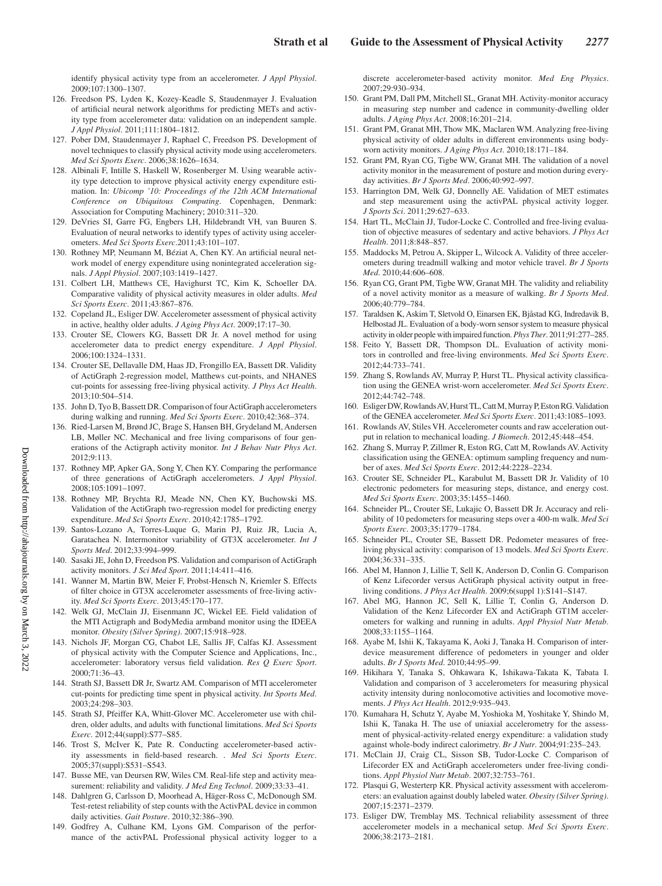identify physical activity type from an accelerometer. *J Appl Physiol*. 2009;107:1300–1307.

- 126. Freedson PS, Lyden K, Kozey-Keadle S, Staudenmayer J. Evaluation of artificial neural network algorithms for predicting METs and activity type from accelerometer data: validation on an independent sample. *J Appl Physiol*. 2011;111:1804–1812.
- 127. Pober DM, Staudenmayer J, Raphael C, Freedson PS. Development of novel techniques to classify physical activity mode using accelerometers. *Med Sci Sports Exerc*. 2006;38:1626–1634.
- 128. Albinali F, Intille S, Haskell W, Rosenberger M. Using wearable activity type detection to improve physical activity energy expenditure estimation. In: *Ubicomp '10: Proceedings of the 12th ACM International Conference on Ubiquitous Computing*. Copenhagen, Denmark: Association for Computing Machinery; 2010:311–320.
- 129. DeVries SI, Garre FG, Engbers LH, Hildebrandt VH, van Buuren S. Evaluation of neural networks to identify types of activity using accelerometers. *Med Sci Sports Exerc*.2011;43:101–107.
- 130. Rothney MP, Neumann M, Béziat A, Chen KY. An artificial neural network model of energy expenditure using nonintegrated acceleration signals. *J Appl Physiol*. 2007;103:1419–1427.
- 131. Colbert LH, Matthews CE, Havighurst TC, Kim K, Schoeller DA. Comparative validity of physical activity measures in older adults. *Med Sci Sports Exerc*. 2011;43:867–876.
- 132. Copeland JL, Esliger DW. Accelerometer assessment of physical activity in active, healthy older adults. *J Aging Phys Act*. 2009;17:17–30.
- 133. Crouter SE, Clowers KG, Bassett DR Jr. A novel method for using accelerometer data to predict energy expenditure. *J Appl Physiol*. 2006;100:1324–1331.
- 134. Crouter SE, Dellavalle DM, Haas JD, Frongillo EA, Bassett DR. Validity of ActiGraph 2-regression model, Matthews cut-points, and NHANES cut-points for assessing free-living physical activity. *J Phys Act Health*. 2013;10:504–514.
- 135. John D, Tyo B, Bassett DR. Comparison of four ActiGraph accelerometers during walking and running. *Med Sci Sports Exerc*. 2010;42:368–374.
- 136. Ried-Larsen M, Brønd JC, Brage S, Hansen BH, Grydeland M, Andersen LB, Møller NC. Mechanical and free living comparisons of four generations of the Actigraph activity monitor. *Int J Behav Nutr Phys Act*. 2012;9:113.
- 137. Rothney MP, Apker GA, Song Y, Chen KY. Comparing the performance of three generations of ActiGraph accelerometers. *J Appl Physiol*. 2008;105:1091–1097.
- 138. Rothney MP, Brychta RJ, Meade NN, Chen KY, Buchowski MS. Validation of the ActiGraph two-regression model for predicting energy expenditure. *Med Sci Sports Exerc*. 2010;42:1785–1792.
- 139. Santos-Lozano A, Torres-Luque G, Marin PJ, Ruiz JR, Lucia A, Garatachea N. Intermonitor variability of GT3X accelerometer. *Int J Sports Med*. 2012;33:994–999.
- 140. Sasaki JE, John D, Freedson PS. Validation and comparison of ActiGraph activity monitors. *J Sci Med Sport*. 2011;14:411–416.
- 141. Wanner M, Martin BW, Meier F, Probst-Hensch N, Kriemler S. Effects of filter choice in GT3X accelerometer assessments of free-living activity. *Med Sci Sports Exerc*. 2013;45:170–177.
- 142. Welk GJ, McClain JJ, Eisenmann JC, Wickel EE. Field validation of the MTI Actigraph and BodyMedia armband monitor using the IDEEA monitor. *Obesity (Silver Spring)*. 2007;15:918–928.
- 143. Nichols JF, Morgan CG, Chabot LE, Sallis JF, Calfas KJ. Assessment of physical activity with the Computer Science and Applications, Inc., accelerometer: laboratory versus field validation. *Res Q Exerc Sport*. 2000;71:36–43.
- 144. Strath SJ, Bassett DR Jr, Swartz AM. Comparison of MTI accelerometer cut-points for predicting time spent in physical activity. *Int Sports Med*. 2003;24:298–303.
- 145. Strath SJ, Pfeiffer KA, Whitt-Glover MC. Accelerometer use with children, older adults, and adults with functional limitations. *Med Sci Sports Exerc*. 2012;44(suppl):S77–S85.
- 146. Trost S, McIver K, Pate R. Conducting accelerometer-based activity assessments in field-based research. . *Med Sci Sports Exerc*. 2005;37(suppl):S531–S543.
- 147. Busse ME, van Deursen RW, Wiles CM. Real-life step and activity measurement: reliability and validity. *J Med Eng Technol*. 2009;33:33–41.
- 148. Dahlgren G, Carlsson D, Moorhead A, Häger-Ross C, McDonough SM. Test-retest reliability of step counts with the ActivPAL device in common daily activities. *Gait Posture*. 2010;32:386–390.
- 149. Godfrey A, Culhane KM, Lyons GM. Comparison of the performance of the activPAL Professional physical activity logger to a

discrete accelerometer-based activity monitor. *Med Eng Physics*. 2007;29:930–934.

- 150. Grant PM, Dall PM, Mitchell SL, Granat MH. Activity-monitor accuracy in measuring step number and cadence in community-dwelling older adults. *J Aging Phys Act*. 2008;16:201–214.
- 151. Grant PM, Granat MH, Thow MK, Maclaren WM. Analyzing free-living physical activity of older adults in different environments using bodyworn activity monitors. *J Aging Phys Act*. 2010;18:171–184.
- 152. Grant PM, Ryan CG, Tigbe WW, Granat MH. The validation of a novel activity monitor in the measurement of posture and motion during everyday activities. *Br J Sports Med*. 2006;40:992–997.
- 153. Harrington DM, Welk GJ, Donnelly AE. Validation of MET estimates and step measurement using the activPAL physical activity logger. *J Sports Sci*. 2011;29:627–633.
- 154. Hart TL, McClain JJ, Tudor-Locke C. Controlled and free-living evaluation of objective measures of sedentary and active behaviors. *J Phys Act Health*. 2011;8:848–857.
- 155. Maddocks M, Petrou A, Skipper L, Wilcock A. Validity of three accelerometers during treadmill walking and motor vehicle travel. *Br J Sports Med*. 2010;44:606–608.
- 156. Ryan CG, Grant PM, Tigbe WW, Granat MH. The validity and reliability of a novel activity monitor as a measure of walking. *Br J Sports Med*. 2006;40:779–784.
- 157. Taraldsen K, Askim T, Sletvold O, Einarsen EK, Bjåstad KG, Indredavik B, Helbostad JL. Evaluation of a body-worn sensor system to measure physical activity in older people with impaired function. *Phys Ther*. 2011;91:277–285.
- 158. Feito Y, Bassett DR, Thompson DL. Evaluation of activity monitors in controlled and free-living environments. *Med Sci Sports Exerc*. 2012;44:733–741.
- 159. Zhang S, Rowlands AV, Murray P, Hurst TL. Physical activity classification using the GENEA wrist-worn accelerometer. *Med Sci Sports Exerc*. 2012;44:742–748.
- 160. Esliger DW, Rowlands AV, Hurst TL, Catt M, Murray P, Eston RG. Validation of the GENEA accelerometer. *Med Sci Sports Exerc*. 2011;43:1085–1093.
- 161. Rowlands AV, Stiles VH. Accelerometer counts and raw acceleration output in relation to mechanical loading. *J Biomech*. 2012;45:448–454.
- 162. Zhang S, Murray P, Zillmer R, Eston RG, Catt M, Rowlands AV. Activity classification using the GENEA: optimum sampling frequency and number of axes. *Med Sci Sports Exerc*. 2012;44:2228–2234.
- 163. Crouter SE, Schneider PL, Karabulut M, Bassett DR Jr. Validity of 10 electronic pedometers for measuring steps, distance, and energy cost. *Med Sci Sports Exerc*. 2003;35:1455–1460.
- 164. Schneider PL, Crouter SE, Lukajic O, Bassett DR Jr. Accuracy and reliability of 10 pedometers for measuring steps over a 400-m walk. *Med Sci Sports Exerc*. 2003;35:1779–1784.
- 165. Schneider PL, Crouter SE, Bassett DR. Pedometer measures of freeliving physical activity: comparison of 13 models. *Med Sci Sports Exerc*. 2004;36:331–335.
- 166. Abel M, Hannon J, Lillie T, Sell K, Anderson D, Conlin G. Comparison of Kenz Lifecorder versus ActiGraph physical activity output in freeliving conditions. *J Phys Act Health*. 2009;6(suppl 1):S141–S147.
- 167. Abel MG, Hannon JC, Sell K, Lillie T, Conlin G, Anderson D. Validation of the Kenz Lifecorder EX and ActiGraph GT1M accelerometers for walking and running in adults. *Appl Physiol Nutr Metab*. 2008;33:1155–1164.
- 168. Ayabe M, Ishii K, Takayama K, Aoki J, Tanaka H. Comparison of interdevice measurement difference of pedometers in younger and older adults. *Br J Sports Med*. 2010;44:95–99.
- 169. Hikihara Y, Tanaka S, Ohkawara K, Ishikawa-Takata K, Tabata I. Validation and comparison of 3 accelerometers for measuring physical activity intensity during nonlocomotive activities and locomotive movements. *J Phys Act Health*. 2012;9:935–943.
- 170. Kumahara H, Schutz Y, Ayabe M, Yoshioka M, Yoshitake Y, Shindo M, Ishii K, Tanaka H. The use of uniaxial accelerometry for the assessment of physical-activity-related energy expenditure: a validation study against whole-body indirect calorimetry. *Br J Nutr*. 2004;91:235–243.
- 171. McClain JJ, Craig CL, Sisson SB, Tudor-Locke C. Comparison of Lifecorder EX and ActiGraph accelerometers under free-living conditions. *Appl Physiol Nutr Metab*. 2007;32:753–761.
- 172. Plasqui G, Westerterp KR. Physical activity assessment with accelerometers: an evaluation against doubly labeled water. *Obesity (Silver Spring)*. 2007;15:2371–2379.
- 173. Esliger DW, Tremblay MS. Technical reliability assessment of three accelerometer models in a mechanical setup. *Med Sci Sports Exerc*. 2006;38:2173–2181.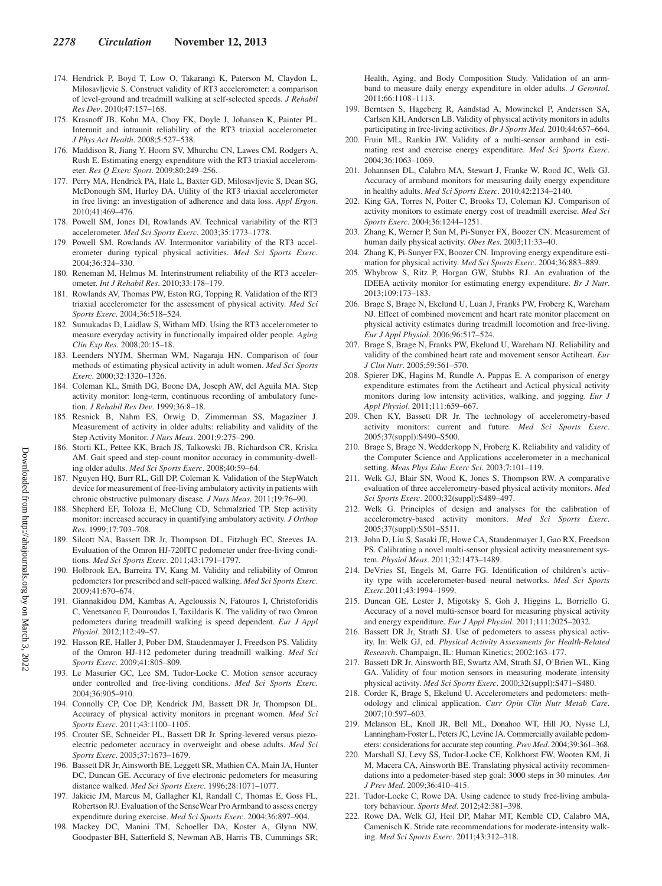- 174. Hendrick P, Boyd T, Low O, Takarangi K, Paterson M, Claydon L, Milosavljevic S. Construct validity of RT3 accelerometer: a comparison of level-ground and treadmill walking at self-selected speeds. *J Rehabil Res Dev*. 2010;47:157–168.
- 175. Krasnoff JB, Kohn MA, Choy FK, Doyle J, Johansen K, Painter PL. Interunit and intraunit reliability of the RT3 triaxial accelerometer. *J Phys Act Health*. 2008;5:527–538.
- 176. Maddison R, Jiang Y, Hoorn SV, Mhurchu CN, Lawes CM, Rodgers A, Rush E. Estimating energy expenditure with the RT3 triaxial accelerometer. *Res Q Exerc Sport*. 2009;80:249–256.
- 177. Perry MA, Hendrick PA, Hale L, Baxter GD, Milosavljevic S, Dean SG, McDonough SM, Hurley DA. Utility of the RT3 triaxial accelerometer in free living: an investigation of adherence and data loss. *Appl Ergon*. 2010;41:469–476.
- 178. Powell SM, Jones DI, Rowlands AV. Technical variability of the RT3 accelerometer. *Med Sci Sports Exerc*. 2003;35:1773–1778.
- 179. Powell SM, Rowlands AV. Intermonitor variability of the RT3 accelerometer during typical physical activities. *Med Sci Sports Exerc*. 2004;36:324–330.
- 180. Reneman M, Helmus M. Interinstrument reliability of the RT3 accelerometer. *Int J Rehabil Res*. 2010;33:178–179.
- 181. Rowlands AV, Thomas PW, Eston RG, Topping R. Validation of the RT3 triaxial accelerometer for the assessment of physical activity. *Med Sci Sports Exerc*. 2004;36:518–524.
- 182. Sumukadas D, Laidlaw S, Witham MD. Using the RT3 accelerometer to measure everyday activity in functionally impaired older people. *Aging Clin Exp Res*. 2008;20:15–18.
- 183. Leenders NYJM, Sherman WM, Nagaraja HN. Comparison of four methods of estimating physical activity in adult women. *Med Sci Sports Exerc*. 2000;32:1320–1326.
- 184. Coleman KL, Smith DG, Boone DA, Joseph AW, del Aguila MA. Step activity monitor: long-term, continuous recording of ambulatory function. *J Rehabil Res Dev*. 1999;36:8–18.
- 185. Resnick B, Nahm ES, Orwig D, Zimmerman SS, Magaziner J. Measurement of activity in older adults: reliability and validity of the Step Activity Monitor. *J Nurs Meas*. 2001;9:275–290.
- 186. Storti KL, Pettee KK, Brach JS, Talkowski JB, Richardson CR, Kriska AM. Gait speed and step-count monitor accuracy in community-dwelling older adults. *Med Sci Sports Exerc*. 2008;40:59–64.
- 187. Nguyen HQ, Burr RL, Gill DP, Coleman K. Validation of the StepWatch device for measurement of free-living ambulatory activity in patients with chronic obstructive pulmonary disease. *J Nurs Meas*. 2011;19:76–90.
- 188. Shepherd EF, Toloza E, McClung CD, Schmalzried TP. Step activity monitor: increased accuracy in quantifying ambulatory activity. *J Orthop Res.* 1999;17:703–708.
- 189. Silcott NA, Bassett DR Jr, Thompson DL, Fitzhugh EC, Steeves JA. Evaluation of the Omron HJ-720ITC pedometer under free-living conditions. *Med Sci Sports Exerc*. 2011;43:1791–1797.
- 190. Holbrook EA, Barreira TV, Kang M. Validity and reliability of Omron pedometers for prescribed and self-paced walking. *Med Sci Sports Exerc*. 2009;41:670–674.
- 191. Giannakidou DM, Kambas A, Ageloussis N, Fatouros I, Christoforidis C, Venetsanou F, Douroudos I, Taxildaris K. The validity of two Omron pedometers during treadmill walking is speed dependent. *Eur J Appl Physiol*. 2012;112:49–57.
- 192. Hasson RE, Haller J, Pober DM, Staudenmayer J, Freedson PS. Validity of the Omron HJ-112 pedometer during treadmill walking. *Med Sci Sports Exerc*. 2009;41:805–809.
- 193. Le Masurier GC, Lee SM, Tudor-Locke C. Motion sensor accuracy under controlled and free-living conditions. *Med Sci Sports Exerc*. 2004;36:905–910.
- 194. Connolly CP, Coe DP, Kendrick JM, Bassett DR Jr, Thompson DL. Accuracy of physical activity monitors in pregnant women. *Med Sci Sports Exerc*. 2011;43:1100–1105.
- 195. Crouter SE, Schneider PL, Bassett DR Jr. Spring-levered versus piezoelectric pedometer accuracy in overweight and obese adults. *Med Sci Sports Exerc*. 2005;37:1673–1679.
- 196. Bassett DR Jr, Ainsworth BE, Leggett SR, Mathien CA, Main JA, Hunter DC, Duncan GE. Accuracy of five electronic pedometers for measuring distance walked. *Med Sci Sports Exerc*. 1996;28:1071–1077.
- 197. Jakicic JM, Marcus M, Gallagher KI, Randall C, Thomas E, Goss FL, Robertson RJ. Evaluation of the SenseWear Pro Armband to assess energy expenditure during exercise. *Med Sci Sports Exerc*. 2004;36:897–904.
- 198. Mackey DC, Manini TM, Schoeller DA, Koster A, Glynn NW, Goodpaster BH, Satterfield S, Newman AB, Harris TB, Cummings SR;

Health, Aging, and Body Composition Study. Validation of an armband to measure daily energy expenditure in older adults. *J Gerontol*. 2011;66:1108–1113.

- 199. Berntsen S, Hageberg R, Aandstad A, Mowinckel P, Anderssen SA, Carlsen KH, Andersen LB. Validity of physical activity monitors in adults participating in free-living activities. *Br J Sports Med*. 2010;44:657–664.
- 200. Fruin ML, Rankin JW. Validity of a multi-sensor armband in estimating rest and exercise energy expenditure. *Med Sci Sports Exerc*. 2004;36:1063–1069.
- 201. Johannsen DL, Calabro MA, Stewart J, Franke W, Rood JC, Welk GJ. Accuracy of armband monitors for measuring daily energy expenditure in healthy adults. *Med Sci Sports Exerc*. 2010;42:2134–2140.
- 202. King GA, Torres N, Potter C, Brooks TJ, Coleman KJ. Comparison of activity monitors to estimate energy cost of treadmill exercise. *Med Sci Sports Exerc*. 2004;36:1244–1251.
- 203. Zhang K, Werner P, Sun M, Pi-Sunyer FX, Boozer CN. Measurement of human daily physical activity. *Obes Res*. 2003;11:33–40.
- 204. Zhang K, Pi-Sunyer FX, Boozer CN. Improving energy expenditure estimation for physical activity. *Med Sci Sports Exerc*. 2004;36:883–889.
- 205. Whybrow S, Ritz P, Horgan GW, Stubbs RJ. An evaluation of the IDEEA activity monitor for estimating energy expenditure. *Br J Nutr*. 2013;109:173–183.
- 206. Brage S, Brage N, Ekelund U, Luan J, Franks PW, Froberg K, Wareham NJ. Effect of combined movement and heart rate monitor placement on physical activity estimates during treadmill locomotion and free-living. *Eur J Appl Physiol*. 2006;96:517–524.
- 207. Brage S, Brage N, Franks PW, Ekelund U, Wareham NJ. Reliability and validity of the combined heart rate and movement sensor Actiheart. *Eur J Clin Nutr*. 2005;59:561–570.
- 208. Spierer DK, Hagins M, Rundle A, Pappas E. A comparison of energy expenditure estimates from the Actiheart and Actical physical activity monitors during low intensity activities, walking, and jogging. *Eur J Appl Physiol*. 2011;111:659–667.
- 209. Chen KY, Bassett DR Jr. The technology of accelerometry-based activity monitors: current and future. *Med Sci Sports Exerc*. 2005;37(suppl):S490–S500.
- 210. Brage S, Brage N, Wedderkopp N, Froberg K. Reliability and validity of the Computer Science and Applications accelerometer in a mechanical setting. *Meas Phys Educ Exerc Sci*. 2003;7:101–119.
- 211. Welk GJ, Blair SN, Wood K, Jones S, Thompson RW. A comparative evaluation of three accelerometry-based physical activity monitors. *Med Sci Sports Exerc*. 2000;32(suppl):S489–497.
- 212. Welk G. Principles of design and analyses for the calibration of accelerometry-based activity monitors. *Med Sci Sports Exerc*. 2005;37(suppl):S501–S511.
- 213. John D, Liu S, Sasaki JE, Howe CA, Staudenmayer J, Gao RX, Freedson PS. Calibrating a novel multi-sensor physical activity measurement system. *Physiol Meas*. 2011;32:1473–1489.
- 214. DeVries SI, Engels M, Garre FG. Identification of children's activity type with accelerometer-based neural networks. *Med Sci Sports Exerc*.2011;43:1994–1999.
- 215. Duncan GE, Lester J, Migotsky S, Goh J, Higgins L, Borriello G. Accuracy of a novel multi-sensor board for measuring physical activity and energy expenditure. *Eur J Appl Physiol*. 2011;111:2025–2032.
- 216. Bassett DR Jr, Strath SJ. Use of pedometers to assess physical activity. In: Welk GJ, ed. *Physical Activity Assessments for Health-Related Research*. Champaign, IL: Human Kinetics; 2002:163–177.
- 217. Bassett DR Jr, Ainsworth BE, Swartz AM, Strath SJ, O'Brien WL, King GA. Validity of four motion sensors in measuring moderate intensity physical activity. *Med Sci Sports Exerc*. 2000;32(suppl):S471–S480.
- 218. Corder K, Brage S, Ekelund U. Accelerometers and pedometers: methodology and clinical application. *Curr Opin Clin Nutr Metab Care*. 2007;10:597–603.
- 219. Melanson EL, Knoll JR, Bell ML, Donahoo WT, Hill JO, Nysse LJ, Lanningham-Foster L, Peters JC, Levine JA. Commercially available pedometers: considerations for accurate step counting. *Prev Med*. 2004;39:361–368.
- 220. Marshall SJ, Levy SS, Tudor-Locke CE, Kolkhorst FW, Wooten KM, Ji M, Macera CA, Ainsworth BE. Translating physical activity recommendations into a pedometer-based step goal: 3000 steps in 30 minutes. *Am J Prev Med*. 2009;36:410–415.
- 221. Tudor-Locke C, Rowe DA. Using cadence to study free-living ambulatory behaviour. *Sports Med*. 2012;42:381–398.
- 222. Rowe DA, Welk GJ, Heil DP, Mahar MT, Kemble CD, Calabro MA, Camenisch K. Stride rate recommendations for moderate-intensity walking. *Med Sci Sports Exerc*. 2011;43:312–318.